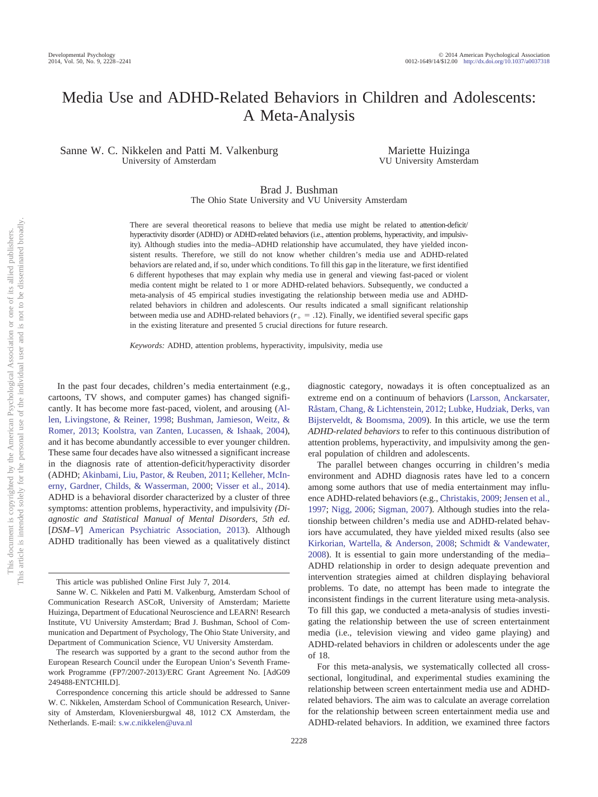# Media Use and ADHD-Related Behaviors in Children and Adolescents: A Meta-Analysis

Sanne W. C. Nikkelen and Patti M. Valkenburg University of Amsterdam

Mariette Huizinga VU University Amsterdam

# Brad J. Bushman The Ohio State University and VU University Amsterdam

There are several theoretical reasons to believe that media use might be related to attention-deficit/ hyperactivity disorder (ADHD) or ADHD-related behaviors (i.e., attention problems, hyperactivity, and impulsivity). Although studies into the media–ADHD relationship have accumulated, they have yielded inconsistent results. Therefore, we still do not know whether children's media use and ADHD-related behaviors are related and, if so, under which conditions. To fill this gap in the literature, we first identified 6 different hypotheses that may explain why media use in general and viewing fast-paced or violent media content might be related to 1 or more ADHD-related behaviors. Subsequently, we conducted a meta-analysis of 45 empirical studies investigating the relationship between media use and ADHDrelated behaviors in children and adolescents. Our results indicated a small significant relationship between media use and ADHD-related behaviors  $(r_{+} = .12)$ . Finally, we identified several specific gaps in the existing literature and presented 5 crucial directions for future research.

*Keywords:* ADHD, attention problems, hyperactivity, impulsivity, media use

In the past four decades, children's media entertainment (e.g., cartoons, TV shows, and computer games) has changed significantly. It has become more fast-paced, violent, and arousing [\(Al](#page-9-0)[len, Livingstone, & Reiner, 1998;](#page-9-0) [Bushman, Jamieson, Weitz, &](#page-10-0) [Romer, 2013;](#page-10-0) [Koolstra, van Zanten, Lucassen, & Ishaak, 2004\)](#page-11-0), and it has become abundantly accessible to ever younger children. These same four decades have also witnessed a significant increase in the diagnosis rate of attention-deficit/hyperactivity disorder (ADHD; [Akinbami, Liu, Pastor, & Reuben, 2011;](#page-9-1) [Kelleher, McIn](#page-11-1)[erny, Gardner, Childs, & Wasserman, 2000;](#page-11-1) [Visser et al., 2014\)](#page-13-0). ADHD is a behavioral disorder characterized by a cluster of three symptoms: attention problems, hyperactivity, and impulsivity *(Diagnostic and Statistical Manual of Mental Disorders, 5th ed.* [*DSM–V*] [American Psychiatric Association, 2013\)](#page-9-2). Although ADHD traditionally has been viewed as a qualitatively distinct

not to be disseminated broadly one of its allied publishers.

 $\overleftarrow{\text{O}}$  $\widetilde{\Xi}$ 

and

diagnostic category, nowadays it is often conceptualized as an extreme end on a continuum of behaviors [\(Larsson, Anckarsater,](#page-11-2) [Råstam, Chang, & Lichtenstein, 2012;](#page-11-2) [Lubke, Hudziak, Derks, van](#page-11-3) [Bijsterveldt, & Boomsma, 2009\)](#page-11-3). In this article, we use the term *ADHD-related behaviors* to refer to this continuous distribution of attention problems, hyperactivity, and impulsivity among the general population of children and adolescents.

The parallel between changes occurring in children's media environment and ADHD diagnosis rates have led to a concern among some authors that use of media entertainment may influence ADHD-related behaviors (e.g., [Christakis, 2009;](#page-10-1) [Jensen et al.,](#page-11-4) [1997;](#page-11-4) [Nigg, 2006;](#page-12-0) [Sigman, 2007\)](#page-12-1). Although studies into the relationship between children's media use and ADHD-related behaviors have accumulated, they have yielded mixed results (also see [Kirkorian, Wartella, & Anderson, 2008;](#page-11-5) [Schmidt & Vandewater,](#page-12-2) [2008\)](#page-12-2). It is essential to gain more understanding of the media– ADHD relationship in order to design adequate prevention and intervention strategies aimed at children displaying behavioral problems. To date, no attempt has been made to integrate the inconsistent findings in the current literature using meta-analysis. To fill this gap, we conducted a meta-analysis of studies investigating the relationship between the use of screen entertainment media (i.e., television viewing and video game playing) and ADHD-related behaviors in children or adolescents under the age of 18.

For this meta-analysis, we systematically collected all crosssectional, longitudinal, and experimental studies examining the relationship between screen entertainment media use and ADHDrelated behaviors. The aim was to calculate an average correlation for the relationship between screen entertainment media use and ADHD-related behaviors. In addition, we examined three factors

This article was published Online First July 7, 2014.

Sanne W. C. Nikkelen and Patti M. Valkenburg, Amsterdam School of Communication Research ASCoR, University of Amsterdam; Mariette Huizinga, Department of Educational Neuroscience and LEARN! Research Institute, VU University Amsterdam; Brad J. Bushman, School of Communication and Department of Psychology, The Ohio State University, and Department of Communication Science, VU University Amsterdam.

The research was supported by a grant to the second author from the European Research Council under the European Union's Seventh Framework Programme (FP7/2007-2013)/ERC Grant Agreement No. [AdG09 249488-ENTCHILD].

Correspondence concerning this article should be addressed to Sanne W. C. Nikkelen, Amsterdam School of Communication Research, University of Amsterdam, Kloveniersburgwal 48, 1012 CX Amsterdam, the Netherlands. E-mail: [s.w.c.nikkelen@uva.nl](mailto:s.w.c.nikkelen@uva.nl)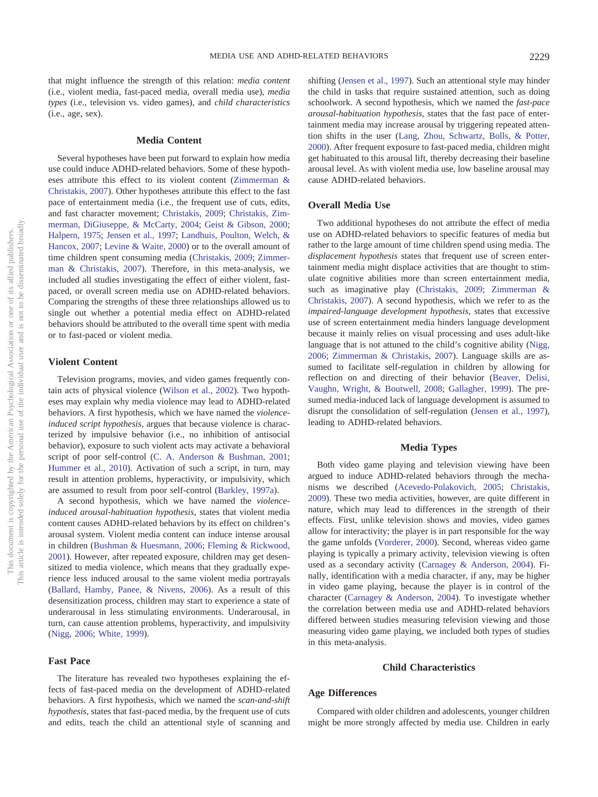that might influence the strength of this relation: *media content* (i.e., violent media, fast-paced media, overall media use), *media types* (i.e., television vs. video games), and *child characteristics* (i.e., age, sex).

### **Media Content**

Several hypotheses have been put forward to explain how media use could induce ADHD-related behaviors. Some of these hypotheses attribute this effect to its violent content [\(Zimmerman &](#page-13-1) [Christakis, 2007\)](#page-13-1). Other hypotheses attribute this effect to the fast pace of entertainment media (i.e., the frequent use of cuts, edits, and fast character movement; [Christakis, 2009;](#page-10-1) [Christakis, Zim](#page-10-2)[merman, DiGiuseppe, & McCarty, 2004;](#page-10-2) [Geist & Gibson, 2000;](#page-11-6) [Halpern, 1975;](#page-11-7) [Jensen et al., 1997;](#page-11-4) [Landhuis, Poulton, Welch, &](#page-11-8) [Hancox, 2007;](#page-11-8) [Levine & Waite, 2000\)](#page-11-9) or to the overall amount of time children spent consuming media [\(Christakis, 2009;](#page-10-1) [Zimmer](#page-13-1)[man & Christakis, 2007\)](#page-13-1). Therefore, in this meta-analysis, we included all studies investigating the effect of either violent, fastpaced, or overall screen media use on ADHD-related behaviors. Comparing the strengths of these three relationships allowed us to single out whether a potential media effect on ADHD-related behaviors should be attributed to the overall time spent with media or to fast-paced or violent media.

# **Violent Content**

Television programs, movies, and video games frequently contain acts of physical violence [\(Wilson et al., 2002\)](#page-13-2). Two hypotheses may explain why media violence may lead to ADHD-related behaviors. A first hypothesis, which we have named the *violenceinduced script hypothesis*, argues that because violence is characterized by impulsive behavior (i.e., no inhibition of antisocial behavior), exposure to such violent acts may activate a behavioral script of poor self-control [\(C. A. Anderson & Bushman, 2001;](#page-9-3) [Hummer et al., 2010\)](#page-11-10). Activation of such a script, in turn, may result in attention problems, hyperactivity, or impulsivity, which are assumed to result from poor self-control [\(Barkley, 1997a\)](#page-9-4).

A second hypothesis, which we have named the *violenceinduced arousal-habituation hypothesis*, states that violent media content causes ADHD-related behaviors by its effect on children's arousal system. Violent media content can induce intense arousal in children [\(Bushman & Huesmann, 2006;](#page-10-3) [Fleming & Rickwood,](#page-10-4) [2001\)](#page-10-4). However, after repeated exposure, children may get desensitized to media violence, which means that they gradually experience less induced arousal to the same violent media portrayals [\(Ballard, Hamby, Panee, & Nivens, 2006\)](#page-9-5). As a result of this desensitization process, children may start to experience a state of underarousal in less stimulating environments. Underarousal, in turn, can cause attention problems, hyperactivity, and impulsivity [\(Nigg, 2006;](#page-12-0) [White, 1999\)](#page-13-3).

#### **Fast Pace**

The literature has revealed two hypotheses explaining the effects of fast-paced media on the development of ADHD-related behaviors. A first hypothesis, which we named the *scan-and-shift hypothesis*, states that fast-paced media, by the frequent use of cuts and edits, teach the child an attentional style of scanning and shifting [\(Jensen et al., 1997\)](#page-11-4). Such an attentional style may hinder the child in tasks that require sustained attention, such as doing schoolwork. A second hypothesis, which we named the *fast-pace arousal-habituation hypothesis*, states that the fast pace of entertainment media may increase arousal by triggering repeated attention shifts in the user [\(Lang, Zhou, Schwartz, Bolls, & Potter,](#page-11-11) [2000\)](#page-11-11). After frequent exposure to fast-paced media, children might get habituated to this arousal lift, thereby decreasing their baseline arousal level. As with violent media use, low baseline arousal may cause ADHD-related behaviors.

# **Overall Media Use**

Two additional hypotheses do not attribute the effect of media use on ADHD-related behaviors to specific features of media but rather to the large amount of time children spend using media. The *displacement hypothesis* states that frequent use of screen entertainment media might displace activities that are thought to stimulate cognitive abilities more than screen entertainment media, such as imaginative play [\(Christakis, 2009;](#page-10-1) [Zimmerman &](#page-13-1) [Christakis, 2007\)](#page-13-1). A second hypothesis, which we refer to as the *impaired-language development hypothesis*, states that excessive use of screen entertainment media hinders language development because it mainly relies on visual processing and uses adult-like language that is not attuned to the child's cognitive ability [\(Nigg,](#page-12-0) [2006;](#page-12-0) [Zimmerman & Christakis, 2007\)](#page-13-1). Language skills are assumed to facilitate self-regulation in children by allowing for reflection on and directing of their behavior [\(Beaver, Delisi,](#page-9-6) [Vaughn, Wright, & Boutwell, 2008;](#page-9-6) [Gallagher, 1999\)](#page-10-5). The presumed media-induced lack of language development is assumed to disrupt the consolidation of self-regulation [\(Jensen et al., 1997\)](#page-11-4), leading to ADHD-related behaviors.

# **Media Types**

Both video game playing and television viewing have been argued to induce ADHD-related behaviors through the mechanisms we described [\(Acevedo-Polakovich, 2005;](#page-9-7) [Christakis,](#page-10-1) [2009\)](#page-10-1). These two media activities, however, are quite different in nature, which may lead to differences in the strength of their effects. First, unlike television shows and movies, video games allow for interactivity; the player is in part responsible for the way the game unfolds [\(Vorderer, 2000\)](#page-13-4). Second, whereas video game playing is typically a primary activity, television viewing is often used as a secondary activity [\(Carnagey & Anderson, 2004\)](#page-10-6). Finally, identification with a media character, if any, may be higher in video game playing, because the player is in control of the character [\(Carnagey & Anderson, 2004\)](#page-10-6). To investigate whether the correlation between media use and ADHD-related behaviors differed between studies measuring television viewing and those measuring video game playing, we included both types of studies in this meta-analysis.

# **Child Characteristics**

# **Age Differences**

Compared with older children and adolescents, younger children might be more strongly affected by media use. Children in early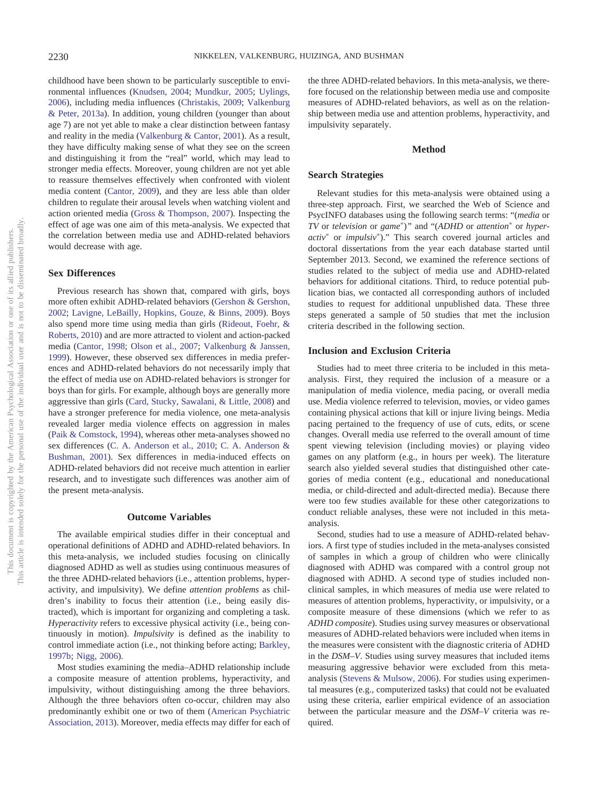childhood have been shown to be particularly susceptible to environmental influences [\(Knudsen, 2004;](#page-11-12) [Mundkur, 2005;](#page-12-3) [Uylings,](#page-13-5) [2006\)](#page-13-5), including media influences [\(Christakis, 2009;](#page-10-1) [Valkenburg](#page-13-6) [& Peter, 2013a\)](#page-13-6). In addition, young children (younger than about age 7) are not yet able to make a clear distinction between fantasy and reality in the media [\(Valkenburg & Cantor, 2001\)](#page-13-7). As a result, they have difficulty making sense of what they see on the screen and distinguishing it from the "real" world, which may lead to stronger media effects. Moreover, young children are not yet able to reassure themselves effectively when confronted with violent media content [\(Cantor, 2009\)](#page-10-7), and they are less able than older children to regulate their arousal levels when watching violent and action oriented media [\(Gross & Thompson, 2007\)](#page-11-13). Inspecting the effect of age was one aim of this meta-analysis. We expected that the correlation between media use and ADHD-related behaviors would decrease with age.

# **Sex Differences**

Previous research has shown that, compared with girls, boys more often exhibit ADHD-related behaviors [\(Gershon & Gershon,](#page-11-14) [2002;](#page-11-14) [Lavigne, LeBailly, Hopkins, Gouze, & Binns, 2009\)](#page-11-15). Boys also spend more time using media than girls [\(Rideout, Foehr, &](#page-12-4) [Roberts, 2010\)](#page-12-4) and are more attracted to violent and action-packed media [\(Cantor, 1998;](#page-10-8) [Olson et al., 2007;](#page-12-5) [Valkenburg & Janssen,](#page-13-8) [1999\)](#page-13-8). However, these observed sex differences in media preferences and ADHD-related behaviors do not necessarily imply that the effect of media use on ADHD-related behaviors is stronger for boys than for girls. For example, although boys are generally more aggressive than girls [\(Card, Stucky, Sawalani, & Little, 2008\)](#page-10-9) and have a stronger preference for media violence, one meta-analysis revealed larger media violence effects on aggression in males [\(Paik & Comstock, 1994\)](#page-12-6), whereas other meta-analyses showed no sex differences [\(C. A. Anderson et al., 2010;](#page-9-8) [C. A. Anderson &](#page-9-3) [Bushman, 2001\)](#page-9-3). Sex differences in media-induced effects on ADHD-related behaviors did not receive much attention in earlier research, and to investigate such differences was another aim of the present meta-analysis.

# **Outcome Variables**

The available empirical studies differ in their conceptual and operational definitions of ADHD and ADHD-related behaviors. In this meta-analysis, we included studies focusing on clinically diagnosed ADHD as well as studies using continuous measures of the three ADHD-related behaviors (i.e., attention problems, hyperactivity, and impulsivity). We define *attention problems* as children's inability to focus their attention (i.e., being easily distracted), which is important for organizing and completing a task. *Hyperactivity* refers to excessive physical activity (i.e., being continuously in motion). *Impulsivity* is defined as the inability to control immediate action (i.e., not thinking before acting; [Barkley,](#page-9-9) [1997b;](#page-9-9) [Nigg, 2006\)](#page-12-0).

Most studies examining the media–ADHD relationship include a composite measure of attention problems, hyperactivity, and impulsivity, without distinguishing among the three behaviors. Although the three behaviors often co-occur, children may also predominantly exhibit one or two of them [\(American Psychiatric](#page-9-2) [Association, 2013\)](#page-9-2). Moreover, media effects may differ for each of

the three ADHD-related behaviors. In this meta-analysis, we therefore focused on the relationship between media use and composite measures of ADHD-related behaviors, as well as on the relationship between media use and attention problems, hyperactivity, and impulsivity separately.

# **Method**

## **Search Strategies**

Relevant studies for this meta-analysis were obtained using a three-step approach. First, we searched the Web of Science and PsycINFO databases using the following search terms: "(*media* or *TV* or *television* or *game*<sup>\*</sup>)" and "(*ADHD* or *attention*<sup>\*</sup> or *hyper*activ<sup>\*</sup> or *impulsiv*<sup>\*</sup>)." This search covered journal articles and doctoral dissertations from the year each database started until September 2013. Second, we examined the reference sections of studies related to the subject of media use and ADHD-related behaviors for additional citations. Third, to reduce potential publication bias, we contacted all corresponding authors of included studies to request for additional unpublished data. These three steps generated a sample of 50 studies that met the inclusion criteria described in the following section.

# **Inclusion and Exclusion Criteria**

Studies had to meet three criteria to be included in this metaanalysis. First, they required the inclusion of a measure or a manipulation of media violence, media pacing, or overall media use. Media violence referred to television, movies, or video games containing physical actions that kill or injure living beings. Media pacing pertained to the frequency of use of cuts, edits, or scene changes. Overall media use referred to the overall amount of time spent viewing television (including movies) or playing video games on any platform (e.g., in hours per week). The literature search also yielded several studies that distinguished other categories of media content (e.g., educational and noneducational media, or child-directed and adult-directed media). Because there were too few studies available for these other categorizations to conduct reliable analyses, these were not included in this metaanalysis.

Second, studies had to use a measure of ADHD-related behaviors. A first type of studies included in the meta-analyses consisted of samples in which a group of children who were clinically diagnosed with ADHD was compared with a control group not diagnosed with ADHD. A second type of studies included nonclinical samples, in which measures of media use were related to measures of attention problems, hyperactivity, or impulsivity, or a composite measure of these dimensions (which we refer to as *ADHD composite*). Studies using survey measures or observational measures of ADHD-related behaviors were included when items in the measures were consistent with the diagnostic criteria of ADHD in the *DSM–V*. Studies using survey measures that included items measuring aggressive behavior were excluded from this metaanalysis [\(Stevens & Mulsow, 2006\)](#page-12-7). For studies using experimental measures (e.g., computerized tasks) that could not be evaluated using these criteria, earlier empirical evidence of an association between the particular measure and the *DSM–V* criteria was required.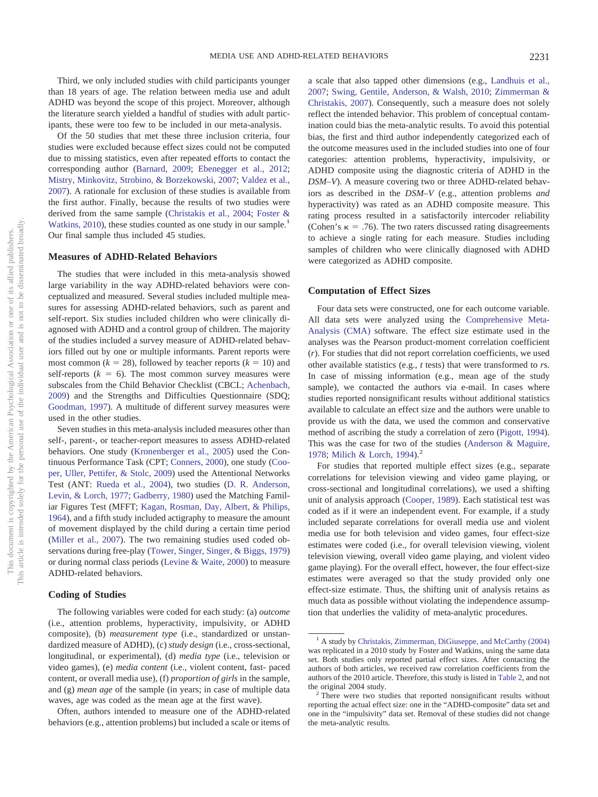Third, we only included studies with child participants younger than 18 years of age. The relation between media use and adult ADHD was beyond the scope of this project. Moreover, although the literature search yielded a handful of studies with adult participants, these were too few to be included in our meta-analysis.

Of the 50 studies that met these three inclusion criteria, four studies were excluded because effect sizes could not be computed due to missing statistics, even after repeated efforts to contact the corresponding author [\(Barnard, 2009;](#page-9-10) [Ebenegger et al., 2012;](#page-10-10) [Mistry, Minkovitz, Strobino, & Borzekowski, 2007;](#page-12-8) [Valdez et al.,](#page-13-9) [2007\)](#page-13-9). A rationale for exclusion of these studies is available from the first author. Finally, because the results of two studies were derived from the same sample [\(Christakis et al., 2004;](#page-10-2) [Foster &](#page-10-11) [Watkins, 2010\)](#page-10-11), these studies counted as one study in our sample.<sup>1</sup> Our final sample thus included 45 studies.

#### **Measures of ADHD-Related Behaviors**

The studies that were included in this meta-analysis showed large variability in the way ADHD-related behaviors were conceptualized and measured. Several studies included multiple measures for assessing ADHD-related behaviors, such as parent and self-report. Six studies included children who were clinically diagnosed with ADHD and a control group of children. The majority of the studies included a survey measure of ADHD-related behaviors filled out by one or multiple informants. Parent reports were most common ( $k = 28$ ), followed by teacher reports ( $k = 10$ ) and self-reports  $(k = 6)$ . The most common survey measures were subscales from the Child Behavior Checklist (CBCL; [Achenbach,](#page-9-11) [2009\)](#page-9-11) and the Strengths and Difficulties Questionnaire (SDQ; [Goodman, 1997\)](#page-11-16). A multitude of different survey measures were used in the other studies.

Seven studies in this meta-analysis included measures other than self-, parent-, or teacher-report measures to assess ADHD-related behaviors. One study [\(Kronenberger et al., 2005\)](#page-11-17) used the Continuous Performance Task (CPT; [Conners, 2000\)](#page-10-12), one study [\(Coo](#page-10-13)[per, Uller, Pettifer, & Stolc, 2009\)](#page-10-13) used the Attentional Networks Test (ANT: [Rueda et al., 2004\)](#page-12-9), two studies [\(D. R. Anderson,](#page-9-12) [Levin, & Lorch, 1977;](#page-9-12) [Gadberry, 1980\)](#page-10-14) used the Matching Familiar Figures Test (MFFT; [Kagan, Rosman, Day, Albert, & Philips,](#page-11-18) [1964\)](#page-11-18), and a fifth study included actigraphy to measure the amount of movement displayed by the child during a certain time period [\(Miller et al., 2007\)](#page-12-10). The two remaining studies used coded observations during free-play [\(Tower, Singer, Singer, & Biggs, 1979\)](#page-13-10) or during normal class periods [\(Levine & Waite, 2000\)](#page-11-9) to measure ADHD-related behaviors.

# **Coding of Studies**

The following variables were coded for each study: (a) *outcome* (i.e., attention problems, hyperactivity, impulsivity, or ADHD composite), (b) *measurement type* (i.e., standardized or unstandardized measure of ADHD), (c) *study design* (i.e., cross-sectional, longitudinal, or experimental), (d) *media type* (i.e., television or video games), (e) *media content* (i.e., violent content, fast- paced content, or overall media use), (f) *proportion of girls* in the sample, and (g) *mean age* of the sample (in years; in case of multiple data waves, age was coded as the mean age at the first wave).

Often, authors intended to measure one of the ADHD-related behaviors (e.g., attention problems) but included a scale or items of a scale that also tapped other dimensions (e.g., [Landhuis et al.,](#page-11-8) [2007;](#page-11-8) [Swing, Gentile, Anderson, & Walsh, 2010;](#page-12-11) [Zimmerman &](#page-13-1) [Christakis, 2007\)](#page-13-1). Consequently, such a measure does not solely reflect the intended behavior. This problem of conceptual contamination could bias the meta-analytic results. To avoid this potential bias, the first and third author independently categorized each of the outcome measures used in the included studies into one of four categories: attention problems, hyperactivity, impulsivity, or ADHD composite using the diagnostic criteria of ADHD in the *DSM–V*). A measure covering two or three ADHD-related behaviors as described in the *DSM–V* (e.g., attention problems *and* hyperactivity) was rated as an ADHD composite measure. This rating process resulted in a satisfactorily intercoder reliability (Cohen's  $\kappa = .76$ ). The two raters discussed rating disagreements to achieve a single rating for each measure. Studies including samples of children who were clinically diagnosed with ADHD were categorized as ADHD composite.

#### **Computation of Effect Sizes**

Four data sets were constructed, one for each outcome variable. All data sets were analyzed using the [Comprehensive Meta-](#page-10-15)[Analysis \(CMA\)](#page-10-15) software. The effect size estimate used in the analyses was the Pearson product-moment correlation coefficient (*r*). For studies that did not report correlation coefficients, we used other available statistics (e.g., *t* tests) that were transformed to *r*s. In case of missing information (e.g., mean age of the study sample), we contacted the authors via e-mail. In cases where studies reported nonsignificant results without additional statistics available to calculate an effect size and the authors were unable to provide us with the data, we used the common and conservative method of ascribing the study a correlation of zero [\(Pigott, 1994\)](#page-12-12). This was the case for two of the studies [\(Anderson & Maguire,](#page-9-13) [1978;](#page-9-13) [Milich & Lorch, 1994\)](#page-12-13).<sup>2</sup>

For studies that reported multiple effect sizes (e.g., separate correlations for television viewing and video game playing, or cross-sectional and longitudinal correlations), we used a shifting unit of analysis approach [\(Cooper, 1989\)](#page-10-16). Each statistical test was coded as if it were an independent event. For example, if a study included separate correlations for overall media use and violent media use for both television and video games, four effect-size estimates were coded (i.e., for overall television viewing, violent television viewing, overall video game playing, and violent video game playing). For the overall effect, however, the four effect-size estimates were averaged so that the study provided only one effect-size estimate. Thus, the shifting unit of analysis retains as much data as possible without violating the independence assumption that underlies the validity of meta-analytic procedures.

<sup>1</sup> A study by [Christakis, Zimmerman, DiGiuseppe, and McCarthy \(2004\)](#page-10-2) was replicated in a 2010 study by Foster and Watkins, using the same data set. Both studies only reported partial effect sizes. After contacting the authors of both articles, we received raw correlation coefficients from the authors of the 2010 article. Therefore, this study is listed in [Table 2,](#page-6-0) and not

the original 2004 study.<br><sup>2</sup> There were two studies that reported nonsignificant results without reporting the actual effect size: one in the "ADHD-composite" data set and one in the "impulsivity" data set. Removal of these studies did not change the meta-analytic results.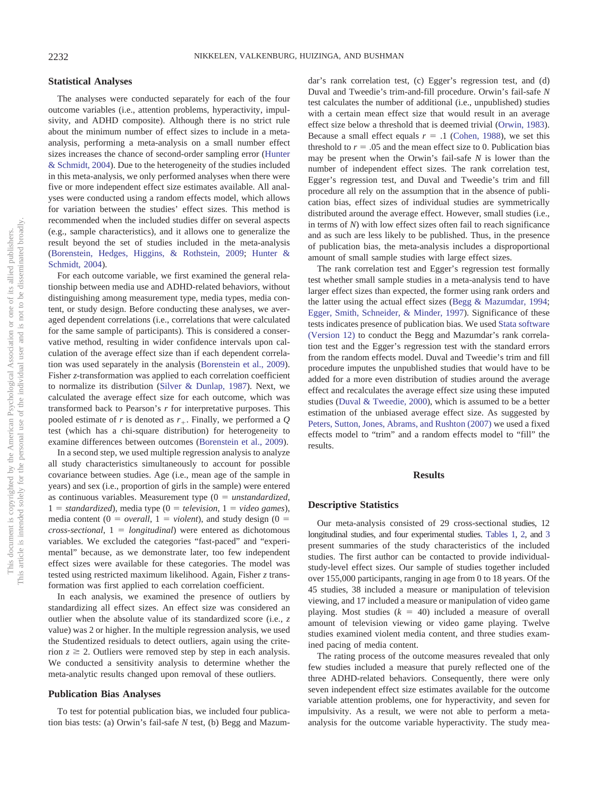# **Statistical Analyses**

The analyses were conducted separately for each of the four outcome variables (i.e., attention problems, hyperactivity, impulsivity, and ADHD composite). Although there is no strict rule about the minimum number of effect sizes to include in a metaanalysis, performing a meta-analysis on a small number effect sizes increases the chance of second-order sampling error [\(Hunter](#page-11-19) [& Schmidt, 2004\)](#page-11-19). Due to the heterogeneity of the studies included in this meta-analysis, we only performed analyses when there were five or more independent effect size estimates available. All analyses were conducted using a random effects model, which allows for variation between the studies' effect sizes. This method is recommended when the included studies differ on several aspects (e.g., sample characteristics), and it allows one to generalize the result beyond the set of studies included in the meta-analysis [\(Borenstein, Hedges, Higgins, & Rothstein, 2009;](#page-10-17) [Hunter &](#page-11-19) [Schmidt, 2004\)](#page-11-19).

For each outcome variable, we first examined the general relationship between media use and ADHD-related behaviors, without distinguishing among measurement type, media types, media content, or study design. Before conducting these analyses, we averaged dependent correlations (i.e., correlations that were calculated for the same sample of participants). This is considered a conservative method, resulting in wider confidence intervals upon calculation of the average effect size than if each dependent correlation was used separately in the analysis [\(Borenstein et al., 2009\)](#page-10-17). Fisher *z*-transformation was applied to each correlation coefficient to normalize its distribution [\(Silver & Dunlap, 1987\)](#page-12-14). Next, we calculated the average effect size for each outcome, which was transformed back to Pearson's *r* for interpretative purposes. This pooled estimate of *r* is denoted as *r*-. Finally, we performed a *Q* test (which has a chi-square distribution) for heterogeneity to examine differences between outcomes [\(Borenstein et al., 2009\)](#page-10-17).

In a second step, we used multiple regression analysis to analyze all study characteristics simultaneously to account for possible covariance between studies. Age (i.e., mean age of the sample in years) and sex (i.e., proportion of girls in the sample) were entered as continuous variables. Measurement type  $(0 = unstandardized,$  $1 = standardized$ , media type ( $0 = television$ ,  $1 = video$  games), media content ( $0 = overall$ ,  $1 = violent$ ), and study design ( $0 =$ *cross-sectional*,  $1 = longitudinal$  were entered as dichotomous variables. We excluded the categories "fast-paced" and "experimental" because, as we demonstrate later, too few independent effect sizes were available for these categories. The model was tested using restricted maximum likelihood. Again, Fisher *z* transformation was first applied to each correlation coefficient.

In each analysis, we examined the presence of outliers by standardizing all effect sizes. An effect size was considered an outlier when the absolute value of its standardized score (i.e., *z* value) was 2 or higher. In the multiple regression analysis, we used the Studentized residuals to detect outliers, again using the criterion  $z \ge 2$ . Outliers were removed step by step in each analysis. We conducted a sensitivity analysis to determine whether the meta-analytic results changed upon removal of these outliers.

#### **Publication Bias Analyses**

To test for potential publication bias, we included four publication bias tests: (a) Orwin's fail-safe *N* test, (b) Begg and Mazumdar's rank correlation test, (c) Egger's regression test, and (d) Duval and Tweedie's trim-and-fill procedure. Orwin's fail-safe *N* test calculates the number of additional (i.e., unpublished) studies with a certain mean effect size that would result in an average effect size below a threshold that is deemed trivial [\(Orwin, 1983\)](#page-12-15). Because a small effect equals  $r = .1$  [\(Cohen, 1988\)](#page-10-18), we set this threshold to  $r = .05$  and the mean effect size to 0. Publication bias may be present when the Orwin's fail-safe *N* is lower than the number of independent effect sizes. The rank correlation test, Egger's regression test, and Duval and Tweedie's trim and fill procedure all rely on the assumption that in the absence of publication bias, effect sizes of individual studies are symmetrically distributed around the average effect. However, small studies (i.e., in terms of *N*) with low effect sizes often fail to reach significance and as such are less likely to be published. Thus, in the presence of publication bias, the meta-analysis includes a disproportional amount of small sample studies with large effect sizes.

The rank correlation test and Egger's regression test formally test whether small sample studies in a meta-analysis tend to have larger effect sizes than expected, the former using rank orders and the latter using the actual effect sizes [\(Begg & Mazumdar, 1994;](#page-9-14) [Egger, Smith, Schneider, & Minder, 1997\)](#page-10-19). Significance of these tests indicates presence of publication bias. We used [Stata software](#page-12-16) [\(Version 12\)](#page-12-16) to conduct the Begg and Mazumdar's rank correlation test and the Egger's regression test with the standard errors from the random effects model. Duval and Tweedie's trim and fill procedure imputes the unpublished studies that would have to be added for a more even distribution of studies around the average effect and recalculates the average effect size using these imputed studies [\(Duval & Tweedie, 2000\)](#page-10-20), which is assumed to be a better estimation of the unbiased average effect size. As suggested by [Peters, Sutton, Jones, Abrams, and Rushton \(2007\)](#page-12-17) we used a fixed effects model to "trim" and a random effects model to "fill" the results.

#### **Results**

# **Descriptive Statistics**

Our meta-analysis consisted of 29 cross-sectional studies, 12 longitudinal studies, and four experimental studies. [Tables 1,](#page-5-0) [2,](#page-6-0) and [3](#page-6-1) present summaries of the study characteristics of the included studies. The first author can be contacted to provide individualstudy-level effect sizes. Our sample of studies together included over 155,000 participants, ranging in age from 0 to 18 years. Of the 45 studies, 38 included a measure or manipulation of television viewing, and 17 included a measure or manipulation of video game playing. Most studies  $(k = 40)$  included a measure of overall amount of television viewing or video game playing. Twelve studies examined violent media content, and three studies examined pacing of media content.

The rating process of the outcome measures revealed that only few studies included a measure that purely reflected one of the three ADHD-related behaviors. Consequently, there were only seven independent effect size estimates available for the outcome variable attention problems, one for hyperactivity, and seven for impulsivity. As a result, we were not able to perform a metaanalysis for the outcome variable hyperactivity. The study mea-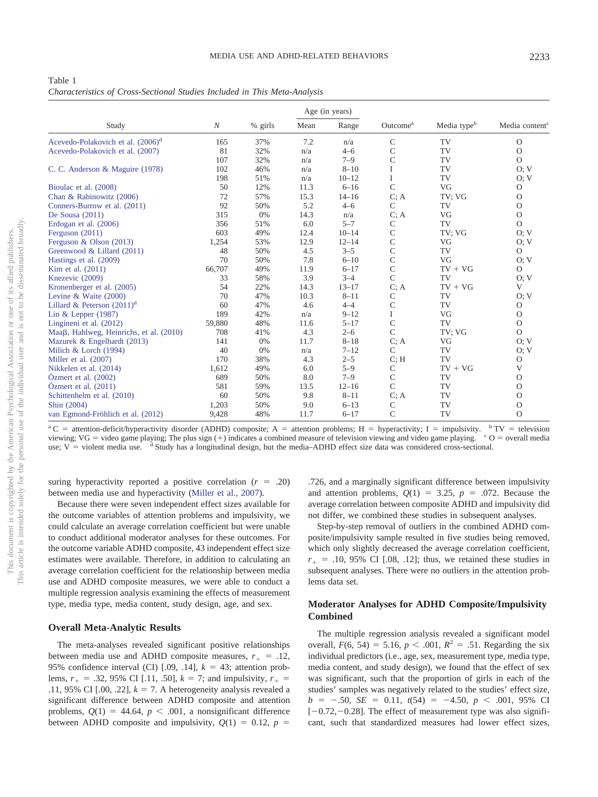<span id="page-5-0"></span>Table 1 *Characteristics of Cross-Sectional Studies Included in This Meta-Analysis*

|                                               |                  | Age (in years) |      |           |                      |                         |                            |
|-----------------------------------------------|------------------|----------------|------|-----------|----------------------|-------------------------|----------------------------|
| Study                                         | $\boldsymbol{N}$ | % girls        | Mean | Range     | Outcome <sup>a</sup> | Media type <sup>b</sup> | Media content <sup>c</sup> |
| Acevedo-Polakovich et al. (2006) <sup>d</sup> | 165              | 37%            | 7.2  | n/a       | $\mathsf{C}$         | TV                      | $\mathcal{O}$              |
| Acevedo-Polakovich et al. (2007)              | 81               | 32%            | n/a  | $4 - 6$   | $\mathsf{C}$         | TV                      | $\mathcal{O}$              |
|                                               | 107              | 32%            | n/a  | $7 - 9$   | $\mathcal{C}$        | TV                      | $\mathcal{O}$              |
| C. C. Anderson & Maguire (1978)               | 102              | 46%            | n/a  | $8 - 10$  | I                    | TV                      | O; V                       |
|                                               | 198              | 51%            | n/a  | $10 - 12$ | $\mathbf{I}$         | TV                      | O; V                       |
| Bioulac et al. (2008)                         | 50               | 12%            | 11.3 | $6 - 16$  | $\mathsf{C}$         | VG                      | $\mathcal{O}$              |
| Chan & Rabinowitz (2006)                      | 72               | 57%            | 15.3 | $14 - 16$ | C; A                 | TV: VG                  | $\mathcal{O}$              |
| Conners-Burrow et al. (2011)                  | 92               | 50%            | 5.2  | $4 - 6$   | $\mathcal{C}$        | TV                      | $\mathcal{O}$              |
| De Sousa $(2011)$                             | 315              | 0%             | 14.3 | n/a       | C; A                 | VG                      | $\mathcal{O}$              |
| Erdogan et al. (2006)                         | 356              | 51%            | 6.0  | $5 - 7$   | C                    | TV                      | $\Omega$                   |
| Ferguson $(2011)$                             | 603              | 49%            | 12.4 | $10 - 14$ | C                    | TV: VG                  | O: V                       |
| Ferguson & Olson (2013)                       | 1,254            | 53%            | 12.9 | $12 - 14$ | $\mathsf{C}$         | VG                      | O; V                       |
| Greenwood & Lillard (2011)                    | 48               | 50%            | 4.5  | $3 - 5$   | $\mathcal{C}$        | TV                      | $\Omega$                   |
| Hastings et al. (2009)                        | 70               | 50%            | 7.8  | $6 - 10$  | $\mathsf{C}$         | VG                      | O; V                       |
| Kim et al. (2011)                             | 66,707           | 49%            | 11.9 | $6 - 17$  | $\mathsf C$          | $TV + VG$               | $\overline{O}$             |
| Knezevic (2009)                               | 33               | 58%            | 3.9  | $3 - 4$   | $\mathsf{C}$         | TV                      | O: V                       |
| Kronenberger et al. (2005)                    | 54               | 22%            | 14.3 | $13 - 17$ | C; A                 | $TV + VG$               | V                          |
| Levine & Waite (2000)                         | 70               | 47%            | 10.3 | $8 - 11$  | C                    | TV                      | O; V                       |
| Lillard & Peterson $(2011)^d$                 | 60               | 47%            | 4.6  | $4 - 4$   | $\mathcal{C}$        | TV                      | $\mathcal{O}$              |
| Lin & Lepper $(1987)$                         | 189              | 42%            | n/a  | $9 - 12$  | L                    | VG                      | $\mathcal{O}$              |
| Lingineni et al. (2012)                       | 59,880           | 48%            | 11.6 | $5 - 17$  | $\mathsf{C}$         | TV                      | $\mathcal{O}$              |
| Maaß, Hahlweg, Heinrichs, et al. (2010)       | 708              | 41%            | 4.3  | $2 - 6$   | $\mathcal{C}$        | TV; VG                  | $\Omega$                   |
| Mazurek & Engelhardt (2013)                   | 141              | 0%             | 11.7 | $8 - 18$  | C; A                 | VG                      | O; V                       |
| Milich & Lorch (1994)                         | 40               | 0%             | n/a  | $7 - 12$  | $\mathcal{C}$        | TV                      | O; V                       |
| Miller et al. (2007)                          | 170              | 38%            | 4.3  | $2 - 5$   | C: H                 | TV                      | $\mathcal{O}$              |
| Nikkelen et al. (2014)                        | 1,612            | 49%            | 6.0  | $5 - 9$   | C                    | $TV + VG$               | V                          |
| Ozmert et al. (2002)                          | 689              | 50%            | 8.0  | $7 - 9$   | $\mathsf{C}$         | TV                      | $\Omega$                   |
| Özmert et al. $(2011)$                        | 581              | 59%            | 13.5 | $12 - 16$ | $\mathsf{C}$         | TV                      | $\mathcal{O}$              |
| Schittenhelm et al. (2010)                    | 60               | 50%            | 9.8  | $8 - 11$  | C; A                 | TV                      | $\mathcal{O}$              |
| Shin (2004)                                   | 1,203            | 50%            | 9.0  | $6 - 13$  | C                    | TV                      | $\mathcal{O}$              |
| van Egmond-Fröhlich et al. (2012)             | 9.428            | 48%            | 11.7 | $6 - 17$  | $\mathcal{C}$        | TV                      | $\Omega$                   |

<sup>a</sup> C = attention-deficit/hyperactivity disorder (ADHD) composite; A = attention problems; H = hyperactivity; I = impulsivity.  $\mathbf{^b}\mathbf{^T}V$  = television viewing; VG = video game playing; The plus sign (+) indicates a combined measure of television viewing and video game playing.  $\degree$  O = overall media use;  $V =$  violent media use.  $d$  Study has a longitudinal design, but the media–ADHD effect size data was considered cross-sectional.

suring hyperactivity reported a positive correlation  $(r = .20)$ between media use and hyperactivity [\(Miller et al., 2007\)](#page-12-10).

Because there were seven independent effect sizes available for the outcome variables of attention problems and impulsivity, we could calculate an average correlation coefficient but were unable to conduct additional moderator analyses for these outcomes. For the outcome variable ADHD composite, 43 independent effect size estimates were available. Therefore, in addition to calculating an average correlation coefficient for the relationship between media use and ADHD composite measures, we were able to conduct a multiple regression analysis examining the effects of measurement type, media type, media content, study design, age, and sex.

## **Overall Meta-Analytic Results**

The meta-analyses revealed significant positive relationships between media use and ADHD composite measures,  $r_{+} = .12$ , 95% confidence interval (CI)  $[.09, .14]$ ,  $k = 43$ ; attention problems,  $r_{+} = .32, 95\%$  CI [.11, .50],  $k = 7$ ; and impulsivity,  $r_{+} =$ .11, 95% CI [.00, .22],  $k = 7$ . A heterogeneity analysis revealed a significant difference between ADHD composite and attention problems,  $Q(1) = 44.64$ ,  $p < .001$ , a nonsignificant difference between ADHD composite and impulsivity,  $Q(1) = 0.12$ ,  $p =$ 

.726, and a marginally significant difference between impulsivity and attention problems,  $Q(1) = 3.25$ ,  $p = .072$ . Because the average correlation between composite ADHD and impulsivity did not differ, we combined these studies in subsequent analyses.

Step-by-step removal of outliers in the combined ADHD composite/impulsivity sample resulted in five studies being removed, which only slightly decreased the average correlation coefficient,  $r_{+} = .10, 95\%$  CI [.08, .12]; thus, we retained these studies in subsequent analyses. There were no outliers in the attention problems data set.

# **Moderator Analyses for ADHD Composite/Impulsivity Combined**

The multiple regression analysis revealed a significant model overall,  $F(6, 54) = 5.16$ ,  $p < .001$ ,  $R^2 = .51$ . Regarding the six individual predictors (i.e., age, sex, measurement type, media type, media content, and study design), we found that the effect of sex was significant, such that the proportion of girls in each of the studies' samples was negatively related to the studies' effect size,  $b = -.50$ ,  $SE = 0.11$ ,  $t(54) = -4.50$ ,  $p < .001$ , 95% CI  $[-0.72,-0.28]$ . The effect of measurement type was also significant, such that standardized measures had lower effect sizes,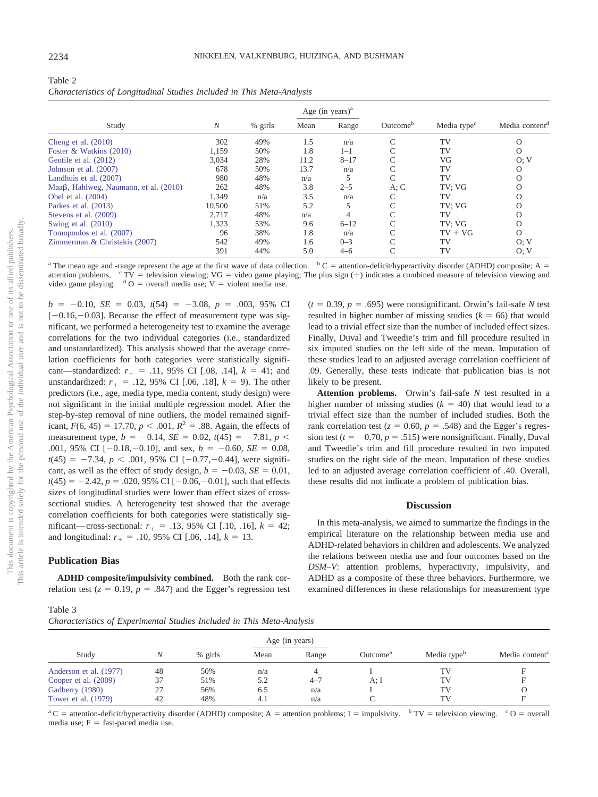<span id="page-6-0"></span>

| Table 2                                                                |  |  |  |  |
|------------------------------------------------------------------------|--|--|--|--|
| Characteristics of Longitudinal Studies Included in This Meta-Analysis |  |  |  |  |

|                                       |        |           | Age (in years) $a$ |          |                      |                         |                            |
|---------------------------------------|--------|-----------|--------------------|----------|----------------------|-------------------------|----------------------------|
| Study                                 | N      | $%$ girls | Mean               | Range    | Outcome <sup>b</sup> | Media type <sup>c</sup> | Media content <sup>d</sup> |
| Cheng et al. $(2010)$                 | 302    | 49%       | 1.5                | n/a      | C                    | TV                      | $\Omega$                   |
| Foster & Watkins (2010)               | 1,159  | 50%       | 1.8                | $1 - 1$  |                      | TV                      | $\Omega$                   |
| Gentile et al. (2012)                 | 3,034  | 28%       | 11.2               | $8 - 17$ |                      | VG                      | O; V                       |
| Johnson et al. (2007)                 | 678    | 50%       | 13.7               | n/a      |                      | TV                      | O                          |
| Landhuis et al. (2007)                | 980    | 48%       | n/a                |          |                      | TV                      | $\Omega$                   |
| Maaß, Hahlweg, Naumann, et al. (2010) | 262    | 48%       | 3.8                | $2 - 5$  | A; C                 | TV: VG                  | O                          |
| Obel et al. (2004)                    | 1.349  | n/a       | 3.5                | n/a      |                      | TV                      | O                          |
| Parkes et al. $(2013)$                | 10,500 | 51%       | 5.2                |          | C                    | TV: VG                  | O                          |
| Stevens et al. (2009)                 | 2,717  | 48%       | n/a                | 4        |                      | TV                      | O                          |
| Swing et al. $(2010)$                 | 1,323  | 53%       | 9.6                | $6 - 12$ |                      | TV: VG                  | O                          |
| Tomopoulos et al. (2007)              | 96     | 38%       | 1.8                | n/a      |                      | $TV + VG$               | O                          |
| Zimmerman & Christakis (2007)         | 542    | 49%       | 1.6                | $0 - 3$  |                      | TV                      | O: V                       |
|                                       | 391    | 44%       | 5.0                | $4 - 6$  |                      | TV                      | O: V                       |

<sup>a</sup> The mean age and -range represent the age at the first wave of data collection.  $bC =$  attention-deficit/hyperactivity disorder (ADHD) composite; A attention problems.  $\degree$  TV = television viewing; VG = video game playing; The plus sign (+) indicates a combined measure of television viewing and video game playing.  $dO =$  overall media use;  $V =$  violent media use.

 $b = -0.10$ ,  $SE = 0.03$ ,  $t(54) = -3.08$ ,  $p = .003$ , 95% CI  $[-0.16,-0.03]$ . Because the effect of measurement type was significant, we performed a heterogeneity test to examine the average correlations for the two individual categories (i.e., standardized and unstandardized). This analysis showed that the average correlation coefficients for both categories were statistically significant—standardized:  $r_{+} = .11, 95\%$  CI [.08, .14],  $k = 41$ ; and unstandardized:  $r_{+} = .12, 95\%$  CI [.06, .18],  $k = 9$ ). The other predictors (i.e., age, media type, media content, study design) were not significant in the initial multiple regression model. After the step-by-step removal of nine outliers, the model remained significant,  $F(6, 45) = 17.70$ ,  $p < .001$ ,  $R^2 = .88$ . Again, the effects of measurement type,  $b = -0.14$ ,  $SE = 0.02$ ,  $t(45) = -7.81$ ,  $p <$ .001, 95% CI  $[-0.18, -0.10]$ , and sex,  $b = -0.60$ ,  $SE = 0.08$ ,  $t(45) = -7.34$ ,  $p < .001$ , 95% CI [ $-0.77$ , $-0.44$ ], were significant, as well as the effect of study design,  $b = -0.03$ ,  $SE = 0.01$ ,  $t(45) = -2.42$ ,  $p = .020$ , 95% CI [ $-0.06$ , $-0.01$ ], such that effects sizes of longitudinal studies were lower than effect sizes of crosssectional studies. A heterogeneity test showed that the average correlation coefficients for both categories were statistically significant—cross-sectional:  $r_{+} = .13, 95\%$  CI [.10, .16],  $k = 42;$ and longitudinal:  $r_{+} = .10, 95\%$  CI [.06, .14],  $k = 13$ .

# **Publication Bias**

**ADHD composite/impulsivity combined.** Both the rank correlation test  $(z = 0.19, p = .847)$  and the Egger's regression test  $(t = 0.39, p = .695)$  were nonsignificant. Orwin's fail-safe *N* test resulted in higher number of missing studies  $(k = 66)$  that would lead to a trivial effect size than the number of included effect sizes. Finally, Duval and Tweedie's trim and fill procedure resulted in six imputed studies on the left side of the mean. Imputation of these studies lead to an adjusted average correlation coefficient of .09. Generally, these tests indicate that publication bias is not likely to be present.

**Attention problems.** Orwin's fail-safe *N* test resulted in a higher number of missing studies  $(k = 40)$  that would lead to a trivial effect size than the number of included studies. Both the rank correlation test ( $z = 0.60$ ,  $p = .548$ ) and the Egger's regression test  $(t = -0.70, p = .515)$  were nonsignificant. Finally, Duval and Tweedie's trim and fill procedure resulted in two imputed studies on the right side of the mean. Imputation of these studies led to an adjusted average correlation coefficient of .40. Overall, these results did not indicate a problem of publication bias.

# **Discussion**

In this meta-analysis, we aimed to summarize the findings in the empirical literature on the relationship between media use and ADHD-related behaviors in children and adolescents. We analyzed the relations between media use and four outcomes based on the *DSM–V*: attention problems, hyperactivity, impulsivity, and ADHD as a composite of these three behaviors. Furthermore, we examined differences in these relationships for measurement type

<span id="page-6-1"></span>

| Table 3                                                                |  |  |  |  |
|------------------------------------------------------------------------|--|--|--|--|
| Characteristics of Experimental Studies Included in This Meta-Analysis |  |  |  |  |

| Age (in years)         |    |           |      |         |                      |                         |                            |  |  |
|------------------------|----|-----------|------|---------|----------------------|-------------------------|----------------------------|--|--|
| Study                  | N  | $%$ girls | Mean | Range   | Outcome <sup>a</sup> | Media type <sup>b</sup> | Media content <sup>c</sup> |  |  |
| Anderson et al. (1977) | 48 | 50%       | n/a  |         |                      | TV                      |                            |  |  |
| Cooper et al. $(2009)$ | 37 | 51%       | 5.2  | $4 - 7$ | A: I                 | TV                      |                            |  |  |
| Gadberry (1980)        | 27 | 56%       | 6.5  | n/a     |                      | TV                      |                            |  |  |
| Tower et al. (1979)    | 42 | 48%       | 4.1  | n/a     |                      | TV                      |                            |  |  |

<sup>a</sup> C = attention-deficit/hyperactivity disorder (ADHD) composite; A = attention problems; I = impulsivity.  $\frac{b}{v} TV$  = television viewing.  $\frac{c}{v}$  O = overall media use;  $F =$  fast-paced media use.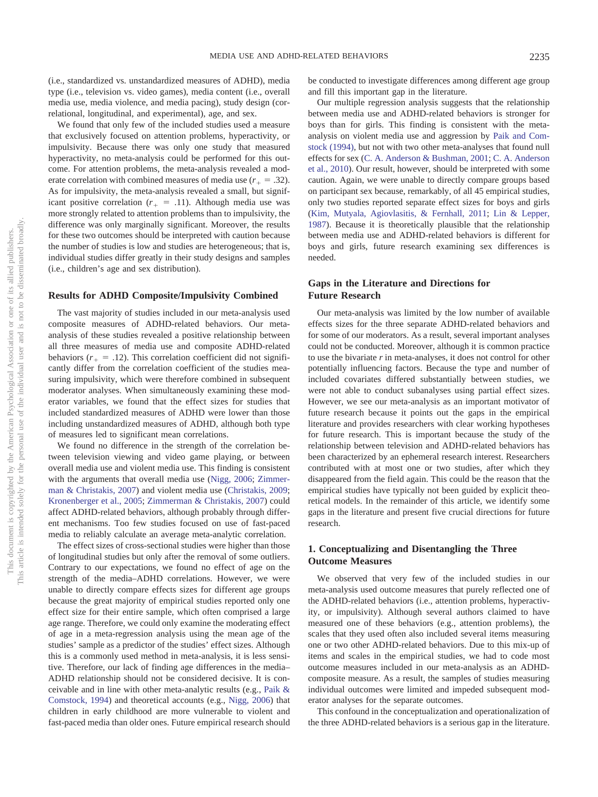(i.e., standardized vs. unstandardized measures of ADHD), media type (i.e., television vs. video games), media content (i.e., overall media use, media violence, and media pacing), study design (correlational, longitudinal, and experimental), age, and sex.

We found that only few of the included studies used a measure that exclusively focused on attention problems, hyperactivity, or impulsivity. Because there was only one study that measured hyperactivity, no meta-analysis could be performed for this outcome. For attention problems, the meta-analysis revealed a moderate correlation with combined measures of media use  $(r_{+} = .32)$ . As for impulsivity, the meta-analysis revealed a small, but significant positive correlation  $(r_{+} = .11)$ . Although media use was more strongly related to attention problems than to impulsivity, the difference was only marginally significant. Moreover, the results for these two outcomes should be interpreted with caution because the number of studies is low and studies are heterogeneous; that is, individual studies differ greatly in their study designs and samples (i.e., children's age and sex distribution).

# **Results for ADHD Composite/Impulsivity Combined**

The vast majority of studies included in our meta-analysis used composite measures of ADHD-related behaviors. Our metaanalysis of these studies revealed a positive relationship between all three measures of media use and composite ADHD-related behaviors  $(r_{+} = .12)$ . This correlation coefficient did not significantly differ from the correlation coefficient of the studies measuring impulsivity, which were therefore combined in subsequent moderator analyses. When simultaneously examining these moderator variables, we found that the effect sizes for studies that included standardized measures of ADHD were lower than those including unstandardized measures of ADHD, although both type of measures led to significant mean correlations.

We found no difference in the strength of the correlation between television viewing and video game playing, or between overall media use and violent media use. This finding is consistent with the arguments that overall media use [\(Nigg, 2006;](#page-12-0) [Zimmer](#page-13-1)[man & Christakis, 2007\)](#page-13-1) and violent media use [\(Christakis, 2009;](#page-10-1) [Kronenberger et al., 2005;](#page-11-17) [Zimmerman & Christakis, 2007\)](#page-13-1) could affect ADHD-related behaviors, although probably through different mechanisms. Too few studies focused on use of fast-paced media to reliably calculate an average meta-analytic correlation.

The effect sizes of cross-sectional studies were higher than those of longitudinal studies but only after the removal of some outliers. Contrary to our expectations, we found no effect of age on the strength of the media–ADHD correlations. However, we were unable to directly compare effects sizes for different age groups because the great majority of empirical studies reported only one effect size for their entire sample, which often comprised a large age range. Therefore, we could only examine the moderating effect of age in a meta-regression analysis using the mean age of the studies' sample as a predictor of the studies' effect sizes. Although this is a commonly used method in meta-analysis, it is less sensitive. Therefore, our lack of finding age differences in the media– ADHD relationship should not be considered decisive. It is conceivable and in line with other meta-analytic results (e.g., [Paik &](#page-12-6) [Comstock, 1994\)](#page-12-6) and theoretical accounts (e.g., [Nigg, 2006\)](#page-12-0) that children in early childhood are more vulnerable to violent and fast-paced media than older ones. Future empirical research should

be conducted to investigate differences among different age group and fill this important gap in the literature.

Our multiple regression analysis suggests that the relationship between media use and ADHD-related behaviors is stronger for boys than for girls. This finding is consistent with the metaanalysis on violent media use and aggression by [Paik and Com](#page-12-6)[stock \(1994\),](#page-12-6) but not with two other meta-analyses that found null effects for sex [\(C. A. Anderson & Bushman, 2001;](#page-9-3) [C. A. Anderson](#page-9-8) [et al., 2010\)](#page-9-8). Our result, however, should be interpreted with some caution. Again, we were unable to directly compare groups based on participant sex because, remarkably, of all 45 empirical studies, only two studies reported separate effect sizes for boys and girls [\(Kim, Mutyala, Agiovlasitis, & Fernhall, 2011;](#page-11-22) [Lin & Lepper,](#page-11-25) [1987\)](#page-11-25). Because it is theoretically plausible that the relationship between media use and ADHD-related behaviors is different for boys and girls, future research examining sex differences is needed.

# **Gaps in the Literature and Directions for Future Research**

Our meta-analysis was limited by the low number of available effects sizes for the three separate ADHD-related behaviors and for some of our moderators. As a result, several important analyses could not be conducted. Moreover, although it is common practice to use the bivariate *r* in meta-analyses, it does not control for other potentially influencing factors. Because the type and number of included covariates differed substantially between studies, we were not able to conduct subanalyses using partial effect sizes. However, we see our meta-analysis as an important motivator of future research because it points out the gaps in the empirical literature and provides researchers with clear working hypotheses for future research. This is important because the study of the relationship between television and ADHD-related behaviors has been characterized by an ephemeral research interest. Researchers contributed with at most one or two studies, after which they disappeared from the field again. This could be the reason that the empirical studies have typically not been guided by explicit theoretical models. In the remainder of this article, we identify some gaps in the literature and present five crucial directions for future research.

# **1. Conceptualizing and Disentangling the Three Outcome Measures**

We observed that very few of the included studies in our meta-analysis used outcome measures that purely reflected one of the ADHD-related behaviors (i.e., attention problems, hyperactivity, or impulsivity). Although several authors claimed to have measured one of these behaviors (e.g., attention problems), the scales that they used often also included several items measuring one or two other ADHD-related behaviors. Due to this mix-up of items and scales in the empirical studies, we had to code most outcome measures included in our meta-analysis as an ADHDcomposite measure. As a result, the samples of studies measuring individual outcomes were limited and impeded subsequent moderator analyses for the separate outcomes.

This confound in the conceptualization and operationalization of the three ADHD-related behaviors is a serious gap in the literature.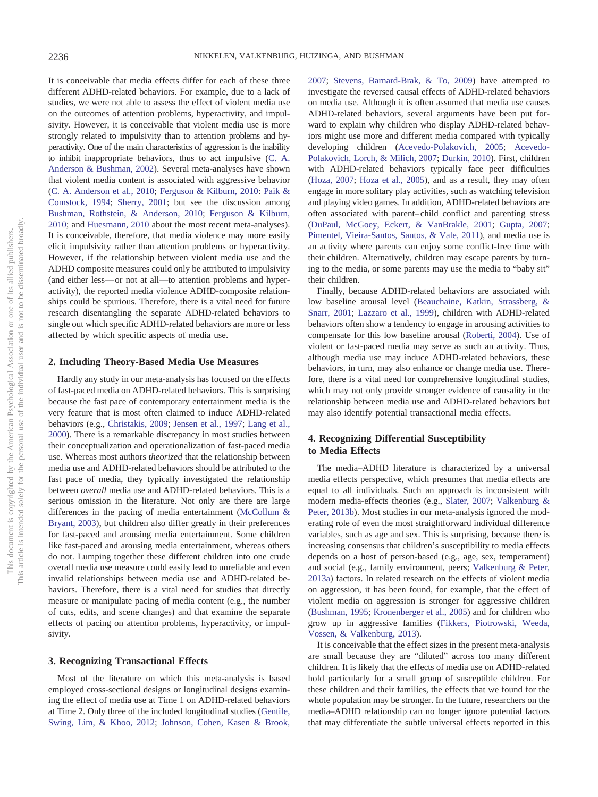It is conceivable that media effects differ for each of these three different ADHD-related behaviors. For example, due to a lack of studies, we were not able to assess the effect of violent media use on the outcomes of attention problems, hyperactivity, and impulsivity. However, it is conceivable that violent media use is more strongly related to impulsivity than to attention problems and hyperactivity. One of the main characteristics of aggression is the inability to inhibit inappropriate behaviors, thus to act impulsive [\(C. A.](#page-9-18) [Anderson & Bushman, 2002\)](#page-9-18). Several meta-analyses have shown that violent media content is associated with aggressive behavior [\(C. A. Anderson et al., 2010;](#page-9-8) [Ferguson & Kilburn, 2010:](#page-10-28) [Paik &](#page-12-6) [Comstock, 1994;](#page-12-6) [Sherry, 2001;](#page-12-29) but see the discussion among [Bushman, Rothstein, & Anderson, 2010;](#page-10-29) [Ferguson & Kilburn,](#page-10-28) [2010;](#page-10-28) and [Huesmann, 2010](#page-11-30) about the most recent meta-analyses). It is conceivable, therefore, that media violence may more easily elicit impulsivity rather than attention problems or hyperactivity. However, if the relationship between violent media use and the ADHD composite measures could only be attributed to impulsivity (and either less— or not at all—to attention problems and hyperactivity), the reported media violence ADHD-composite relationships could be spurious. Therefore, there is a vital need for future research disentangling the separate ADHD-related behaviors to single out which specific ADHD-related behaviors are more or less affected by which specific aspects of media use.

# **2. Including Theory-Based Media Use Measures**

Hardly any study in our meta-analysis has focused on the effects of fast-paced media on ADHD-related behaviors. This is surprising because the fast pace of contemporary entertainment media is the very feature that is most often claimed to induce ADHD-related behaviors (e.g., [Christakis, 2009;](#page-10-1) [Jensen et al., 1997;](#page-11-4) [Lang et al.,](#page-11-11) [2000\)](#page-11-11). There is a remarkable discrepancy in most studies between their conceptualization and operationalization of fast-paced media use. Whereas most authors *theorized* that the relationship between media use and ADHD-related behaviors should be attributed to the fast pace of media, they typically investigated the relationship between *overall* media use and ADHD-related behaviors. This is a serious omission in the literature. Not only are there are large differences in the pacing of media entertainment [\(McCollum &](#page-12-30) [Bryant, 2003\)](#page-12-30), but children also differ greatly in their preferences for fast-paced and arousing media entertainment. Some children like fast-paced and arousing media entertainment, whereas others do not. Lumping together these different children into one crude overall media use measure could easily lead to unreliable and even invalid relationships between media use and ADHD-related behaviors. Therefore, there is a vital need for studies that directly measure or manipulate pacing of media content (e.g., the number of cuts, edits, and scene changes) and that examine the separate effects of pacing on attention problems, hyperactivity, or impulsivity.

#### **3. Recognizing Transactional Effects**

Most of the literature on which this meta-analysis is based employed cross-sectional designs or longitudinal designs examining the effect of media use at Time 1 on ADHD-related behaviors at Time 2. Only three of the included longitudinal studies [\(Gentile,](#page-11-28) [Swing, Lim, & Khoo, 2012;](#page-11-28) [Johnson, Cohen, Kasen & Brook,](#page-11-29)

[2007;](#page-11-29) [Stevens, Barnard-Brak, & To, 2009\)](#page-12-27) have attempted to investigate the reversed causal effects of ADHD-related behaviors on media use. Although it is often assumed that media use causes ADHD-related behaviors, several arguments have been put forward to explain why children who display ADHD-related behaviors might use more and different media compared with typically developing children [\(Acevedo-Polakovich, 2005;](#page-9-7) [Acevedo-](#page-9-16)[Polakovich, Lorch, & Milich, 2007;](#page-9-16) [Durkin, 2010\)](#page-10-30). First, children with ADHD-related behaviors typically face peer difficulties [\(Hoza, 2007;](#page-11-31) [Hoza et al., 2005\)](#page-11-32), and as a result, they may often engage in more solitary play activities, such as watching television and playing video games. In addition, ADHD-related behaviors are often associated with parent– child conflict and parenting stress [\(DuPaul, McGoey, Eckert, & VanBrakle, 2001;](#page-10-31) [Gupta, 2007;](#page-11-33) [Pimentel, Vieira-Santos, Santos, & Vale, 2011\)](#page-12-31), and media use is an activity where parents can enjoy some conflict-free time with their children. Alternatively, children may escape parents by turning to the media, or some parents may use the media to "baby sit" their children.

Finally, because ADHD-related behaviors are associated with low baseline arousal level [\(Beauchaine, Katkin, Strassberg, &](#page-9-19) [Snarr, 2001;](#page-9-19) [Lazzaro et al., 1999\)](#page-11-34), children with ADHD-related behaviors often show a tendency to engage in arousing activities to compensate for this low baseline arousal [\(Roberti, 2004\)](#page-12-32). Use of violent or fast-paced media may serve as such an activity. Thus, although media use may induce ADHD-related behaviors, these behaviors, in turn, may also enhance or change media use. Therefore, there is a vital need for comprehensive longitudinal studies, which may not only provide stronger evidence of causality in the relationship between media use and ADHD-related behaviors but may also identify potential transactional media effects.

# **4. Recognizing Differential Susceptibility to Media Effects**

The media–ADHD literature is characterized by a universal media effects perspective, which presumes that media effects are equal to all individuals. Such an approach is inconsistent with modern media-effects theories (e.g., [Slater, 2007;](#page-12-33) [Valkenburg &](#page-13-12) [Peter, 2013b\)](#page-13-12). Most studies in our meta-analysis ignored the moderating role of even the most straightforward individual difference variables, such as age and sex. This is surprising, because there is increasing consensus that children's susceptibility to media effects depends on a host of person-based (e.g., age, sex, temperament) and social (e.g., family environment, peers; [Valkenburg & Peter,](#page-13-6) [2013a\)](#page-13-6) factors. In related research on the effects of violent media on aggression, it has been found, for example, that the effect of violent media on aggression is stronger for aggressive children [\(Bushman, 1995;](#page-10-32) [Kronenberger et al., 2005\)](#page-11-17) and for children who grow up in aggressive families [\(Fikkers, Piotrowski, Weeda,](#page-10-33) [Vossen, & Valkenburg, 2013\)](#page-10-33).

It is conceivable that the effect sizes in the present meta-analysis are small because they are "diluted" across too many different children. It is likely that the effects of media use on ADHD-related hold particularly for a small group of susceptible children. For these children and their families, the effects that we found for the whole population may be stronger. In the future, researchers on the media–ADHD relationship can no longer ignore potential factors that may differentiate the subtle universal effects reported in this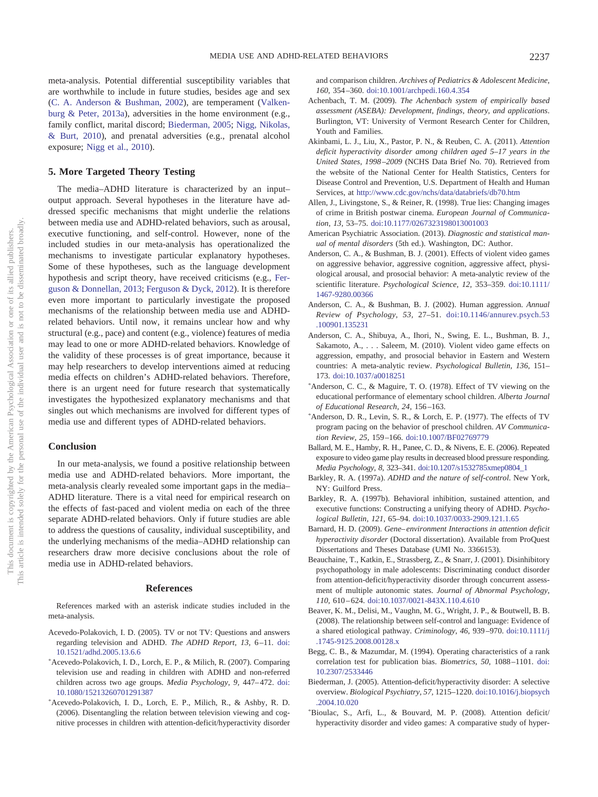meta-analysis. Potential differential susceptibility variables that are worthwhile to include in future studies, besides age and sex [\(C. A. Anderson & Bushman, 2002\)](#page-9-18), are temperament [\(Valken](#page-13-6)[burg & Peter, 2013a\)](#page-13-6), adversities in the home environment (e.g., family conflict, marital discord; [Biederman, 2005;](#page-9-20) [Nigg, Nikolas,](#page-12-34) [& Burt, 2010\)](#page-12-34), and prenatal adversities (e.g., prenatal alcohol exposure; [Nigg et al., 2010\)](#page-12-34).

# **5. More Targeted Theory Testing**

The media–ADHD literature is characterized by an input– output approach. Several hypotheses in the literature have addressed specific mechanisms that might underlie the relations between media use and ADHD-related behaviors, such as arousal, executive functioning, and self-control. However, none of the included studies in our meta-analysis has operationalized the mechanisms to investigate particular explanatory hypotheses. Some of these hypotheses, such as the language development hypothesis and script theory, have received criticisms (e.g., [Fer](#page-10-34)[guson & Donnellan, 2013;](#page-10-34) [Ferguson & Dyck, 2012\)](#page-10-35). It is therefore even more important to particularly investigate the proposed mechanisms of the relationship between media use and ADHDrelated behaviors. Until now, it remains unclear how and why structural (e.g., pace) and content (e.g., violence) features of media may lead to one or more ADHD-related behaviors. Knowledge of the validity of these processes is of great importance, because it may help researchers to develop interventions aimed at reducing media effects on children's ADHD-related behaviors. Therefore, there is an urgent need for future research that systematically investigates the hypothesized explanatory mechanisms and that singles out which mechanisms are involved for different types of media use and different types of ADHD-related behaviors.

# **Conclusion**

In our meta-analysis, we found a positive relationship between media use and ADHD-related behaviors. More important, the meta-analysis clearly revealed some important gaps in the media– ADHD literature. There is a vital need for empirical research on the effects of fast-paced and violent media on each of the three separate ADHD-related behaviors. Only if future studies are able to address the questions of causality, individual susceptibility, and the underlying mechanisms of the media–ADHD relationship can researchers draw more decisive conclusions about the role of media use in ADHD-related behaviors.

#### **References**

References marked with an asterisk indicate studies included in the meta-analysis.

- <span id="page-9-7"></span>Acevedo-Polakovich, I. D. (2005). TV or not TV: Questions and answers regarding television and ADHD. *The ADHD Report, 13*, 6-11. [doi:](http://dx.doi.org/10.1521/adhd.2005.13.6.6) [10.1521/adhd.2005.13.6.6](http://dx.doi.org/10.1521/adhd.2005.13.6.6)
- <span id="page-9-16"></span>- Acevedo-Polakovich, I. D., Lorch, E. P., & Milich, R. (2007). Comparing television use and reading in children with ADHD and non-referred children across two age groups. *Media Psychology, 9,* 447– 472. [doi:](http://dx.doi.org/10.1080/15213260701291387) [10.1080/15213260701291387](http://dx.doi.org/10.1080/15213260701291387)
- <span id="page-9-15"></span>- Acevedo-Polakovich, I. D., Lorch, E. P., Milich, R., & Ashby, R. D. (2006). Disentangling the relation between television viewing and cognitive processes in children with attention-deficit/hyperactivity disorder

and comparison children. *Archives of Pediatrics & Adolescent Medicine, 160,* 354 –360. [doi:10.1001/archpedi.160.4.354](http://dx.doi.org/10.1001/archpedi.160.4.354)

- <span id="page-9-11"></span>Achenbach, T. M. (2009). *The Achenbach system of empirically based assessment (ASEBA): Development, findings, theory, and applications*. Burlington, VT: University of Vermont Research Center for Children, Youth and Families.
- <span id="page-9-1"></span>Akinbami, L. J., Liu, X., Pastor, P. N., & Reuben, C. A. (2011). *Attention deficit hyperactivity disorder among children aged 5–17 years in the United States, 1998 –2009* (NCHS Data Brief No. 70). Retrieved from the website of the National Center for Health Statistics, Centers for Disease Control and Prevention, U.S. Department of Health and Human Services, at <http://www.cdc.gov/nchs/data/databriefs/db70.htm>
- <span id="page-9-0"></span>Allen, J., Livingstone, S., & Reiner, R. (1998). True lies: Changing images of crime in British postwar cinema. *European Journal of Communication, 13,* 53–75. [doi:10.1177/0267323198013001003](http://dx.doi.org/10.1177/0267323198013001003)
- <span id="page-9-2"></span>American Psychiatric Association. (2013). *Diagnostic and statistical manual of mental disorders* (5th ed.). Washington, DC: Author.
- <span id="page-9-3"></span>Anderson, C. A., & Bushman, B. J. (2001). Effects of violent video games on aggressive behavior, aggressive cognition, aggressive affect, physiological arousal, and prosocial behavior: A meta-analytic review of the scientific literature. *Psychological Science, 12,* 353–359. [doi:10.1111/](http://dx.doi.org/10.1111/1467-9280.00366) [1467-9280.00366](http://dx.doi.org/10.1111/1467-9280.00366)
- <span id="page-9-18"></span>Anderson, C. A., & Bushman, B. J. (2002). Human aggression. *Annual Review of Psychology, 53,* 27–51. [doi:10.1146/annurev.psych.53](http://dx.doi.org/10.1146/annurev.psych.53.100901.135231) [.100901.135231](http://dx.doi.org/10.1146/annurev.psych.53.100901.135231)
- <span id="page-9-8"></span>Anderson, C. A., Shibuya, A., Ihori, N., Swing, E. L., Bushman, B. J., Sakamoto, A.,... Saleem, M. (2010). Violent video game effects on aggression, empathy, and prosocial behavior in Eastern and Western countries: A meta-analytic review. *Psychological Bulletin, 136,* 151– 173. [doi:10.1037/a0018251](http://dx.doi.org/10.1037/a0018251)
- <span id="page-9-13"></span>\*Anderson, C. C., & Maguire, T. O. (1978). Effect of TV viewing on the educational performance of elementary school children. *Alberta Journal of Educational Research, 24,* 156 –163.
- <span id="page-9-12"></span>\*Anderson, D. R., Levin, S. R., & Lorch, E. P. (1977). The effects of TV program pacing on the behavior of preschool children. *AV Communication Review, 25,* 159 –166. [doi:10.1007/BF02769779](http://dx.doi.org/10.1007/BF02769779)
- <span id="page-9-5"></span>Ballard, M. E., Hamby, R. H., Panee, C. D., & Nivens, E. E. (2006). Repeated exposure to video game play results in decreased blood pressure responding. *Media Psychology, 8,* 323–341. [doi:10.1207/s1532785xmep0804\\_1](http://dx.doi.org/10.1207/s1532785xmep0804_1)
- <span id="page-9-4"></span>Barkley, R. A. (1997a). *ADHD and the nature of self-control*. New York, NY: Guilford Press.
- <span id="page-9-9"></span>Barkley, R. A. (1997b). Behavioral inhibition, sustained attention, and executive functions: Constructing a unifying theory of ADHD. *Psychological Bulletin, 121,* 65–94. [doi:10.1037/0033-2909.121.1.65](http://dx.doi.org/10.1037/0033-2909.121.1.65)
- <span id="page-9-10"></span>Barnard, H. D. (2009). *Gene– environment Interactions in attention deficit hyperactivity disorder* (Doctoral dissertation). Available from ProQuest Dissertations and Theses Database (UMI No. 3366153).
- <span id="page-9-19"></span>Beauchaine, T., Katkin, E., Strassberg, Z., & Snarr, J. (2001). Disinhibitory psychopathology in male adolescents: Discriminating conduct disorder from attention-deficit/hyperactivity disorder through concurrent assessment of multiple autonomic states. *Journal of Abnormal Psychology, 110,* 610 – 624. [doi:10.1037/0021-843X.110.4.610](http://dx.doi.org/10.1037/0021-843X.110.4.610)
- <span id="page-9-6"></span>Beaver, K. M., Delisi, M., Vaughn, M. G., Wright, J. P., & Boutwell, B. B. (2008). The relationship between self-control and language: Evidence of a shared etiological pathway. *Criminology, 46,* 939 –970. [doi:10.1111/j](http://dx.doi.org/10.1111/j.1745-9125.2008.00128.x) [.1745-9125.2008.00128.x](http://dx.doi.org/10.1111/j.1745-9125.2008.00128.x)
- <span id="page-9-14"></span>Begg, C. B., & Mazumdar, M. (1994). Operating characteristics of a rank correlation test for publication bias. *Biometrics, 50,* 1088 –1101. [doi:](http://dx.doi.org/10.2307/2533446) [10.2307/2533446](http://dx.doi.org/10.2307/2533446)
- <span id="page-9-20"></span>Biederman, J. (2005). Attention-deficit/hyperactivity disorder: A selective overview. *Biological Psychiatry, 57,* 1215–1220. [doi:10.1016/j.biopsych](http://dx.doi.org/10.1016/j.biopsych.2004.10.020) [.2004.10.020](http://dx.doi.org/10.1016/j.biopsych.2004.10.020)
- <span id="page-9-17"></span>- Bioulac, S., Arfi, L., & Bouvard, M. P. (2008). Attention deficit/ hyperactivity disorder and video games: A comparative study of hyper-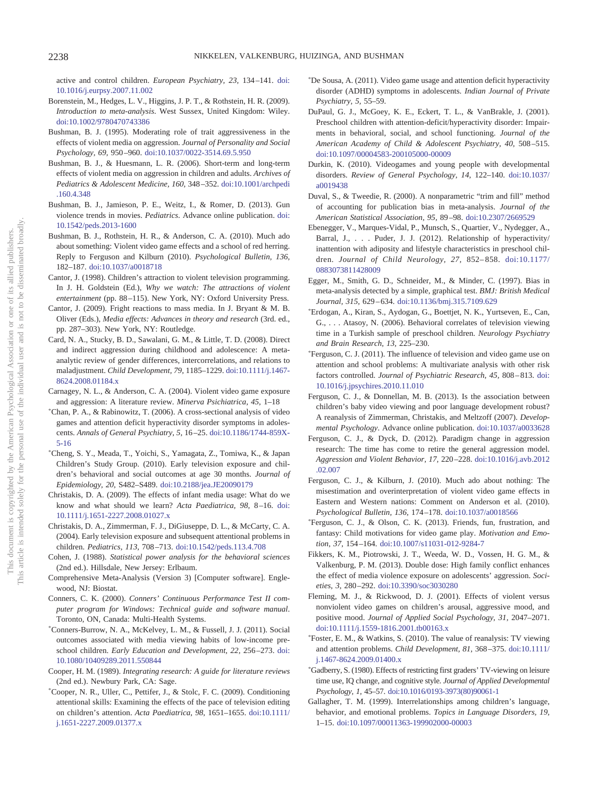active and control children. *European Psychiatry, 23,* 134 –141. [doi:](http://dx.doi.org/10.1016/j.eurpsy.2007.11.002) [10.1016/j.eurpsy.2007.11.002](http://dx.doi.org/10.1016/j.eurpsy.2007.11.002)

- <span id="page-10-17"></span>Borenstein, M., Hedges, L. V., Higgins, J. P. T., & Rothstein, H. R. (2009). *Introduction to meta-analysis*. West Sussex, United Kingdom: Wiley. [doi:10.1002/9780470743386](http://dx.doi.org/10.1002/9780470743386)
- <span id="page-10-32"></span>Bushman, B. J. (1995). Moderating role of trait aggressiveness in the effects of violent media on aggression. *Journal of Personality and Social Psychology, 69,* 950 –960. [doi:10.1037/0022-3514.69.5.950](http://dx.doi.org/10.1037/0022-3514.69.5.950)
- <span id="page-10-3"></span>Bushman, B. J., & Huesmann, L. R. (2006). Short-term and long-term effects of violent media on aggression in children and adults. *Archives of Pediatrics & Adolescent Medicine, 160,* 348 –352. [doi:10.1001/archpedi](http://dx.doi.org/10.1001/archpedi.160.4.348) [.160.4.348](http://dx.doi.org/10.1001/archpedi.160.4.348)
- <span id="page-10-0"></span>Bushman, B. J., Jamieson, P. E., Weitz, I., & Romer, D. (2013). Gun violence trends in movies. *Pediatrics*. Advance online publication. [doi:](http://dx.doi.org/10.1542/peds.2013-1600) [10.1542/peds.2013-1600](http://dx.doi.org/10.1542/peds.2013-1600)
- <span id="page-10-29"></span>Bushman, B. J., Rothstein, H. R., & Anderson, C. A. (2010). Much ado about something: Violent video game effects and a school of red herring. Reply to Ferguson and Kilburn (2010). *Psychological Bulletin, 136,* 182–187. [doi:10.1037/a0018718](http://dx.doi.org/10.1037/a0018718)
- <span id="page-10-8"></span>Cantor, J. (1998). Children's attraction to violent television programming. In J. H. Goldstein (Ed.), *Why we watch: The attractions of violent entertainment* (pp. 88 –115). New York, NY: Oxford University Press.
- <span id="page-10-7"></span>Cantor, J. (2009). Fright reactions to mass media. In J. Bryant & M. B. Oliver (Eds.), *Media effects: Advances in theory and research* (3rd. ed., pp. 287–303). New York, NY: Routledge.
- <span id="page-10-9"></span>Card, N. A., Stucky, B. D., Sawalani, G. M., & Little, T. D. (2008). Direct and indirect aggression during childhood and adolescence: A metaanalytic review of gender differences, intercorrelations, and relations to maladjustment. *Child Development, 79,* 1185–1229. [doi:10.1111/j.1467-](http://dx.doi.org/10.1111/j.1467-8624.2008.01184.x) [8624.2008.01184.x](http://dx.doi.org/10.1111/j.1467-8624.2008.01184.x)
- <span id="page-10-6"></span>Carnagey, N. L., & Anderson, C. A. (2004). Violent video game exposure and aggression: A literature review. *Minerva Psichiatrica, 45,* 1–18
- <span id="page-10-21"></span>- Chan, P. A., & Rabinowitz, T. (2006). A cross-sectional analysis of video games and attention deficit hyperactivity disorder symptoms in adolescents. *Annals of General Psychiatry, 5,* 16 –25. [doi:10.1186/1744-859X-](http://dx.doi.org/10.1186/1744-859X-5-16)[5-16](http://dx.doi.org/10.1186/1744-859X-5-16)
- <span id="page-10-27"></span>- Cheng, S. Y., Meada, T., Yoichi, S., Yamagata, Z., Tomiwa, K., & Japan Children's Study Group. (2010). Early television exposure and children's behavioral and social outcomes at age 30 months. *Journal of Epidemiology, 20,* S482–S489. [doi:10.2188/jea.JE20090179](http://dx.doi.org/10.2188/jea.JE20090179)
- <span id="page-10-1"></span>Christakis, D. A. (2009). The effects of infant media usage: What do we know and what should we learn? *Acta Paediatrica, 98,* 8 –16. [doi:](http://dx.doi.org/10.1111/j.1651-2227.2008.01027.x) [10.1111/j.1651-2227.2008.01027.x](http://dx.doi.org/10.1111/j.1651-2227.2008.01027.x)
- <span id="page-10-2"></span>Christakis, D. A., Zimmerman, F. J., DiGiuseppe, D. L., & McCarty, C. A. (2004). Early television exposure and subsequent attentional problems in children. *Pediatrics, 113,* 708 –713. [doi:10.1542/peds.113.4.708](http://dx.doi.org/10.1542/peds.113.4.708)
- <span id="page-10-18"></span>Cohen, J. (1988). *Statistical power analysis for the behavioral sciences* (2nd ed.). Hillsdale, New Jersey: Erlbaum.
- <span id="page-10-15"></span>Comprehensive Meta-Analysis (Version 3) [Computer software]. Englewood, NJ: Biostat.
- <span id="page-10-12"></span>Conners, C. K. (2000). *Conners' Continuous Performance Test II computer program for Windows: Technical guide and software manual*. Toronto, ON, Canada: Multi-Health Systems.
- <span id="page-10-22"></span>- Conners-Burrow, N. A., McKelvey, L. M., & Fussell, J. J. (2011). Social outcomes associated with media viewing habits of low-income preschool children. *Early Education and Development*, 22, 256-273. [doi:](http://dx.doi.org/10.1080/10409289.2011.550844) [10.1080/10409289.2011.550844](http://dx.doi.org/10.1080/10409289.2011.550844)
- <span id="page-10-16"></span>Cooper, H. M. (1989). *Integrating research: A guide for literature reviews* (2nd ed.). Newbury Park, CA: Sage.
- <span id="page-10-13"></span>- Cooper, N. R., Uller, C., Pettifer, J., & Stolc, F. C. (2009). Conditioning attentional skills: Examining the effects of the pace of television editing on children's attention. *Acta Paediatrica, 98,* 1651–1655. [doi:10.1111/](http://dx.doi.org/10.1111/j.1651-2227.2009.01377.x) [j.1651-2227.2009.01377.x](http://dx.doi.org/10.1111/j.1651-2227.2009.01377.x)
- <span id="page-10-23"></span>- De Sousa, A. (2011). Video game usage and attention deficit hyperactivity disorder (ADHD) symptoms in adolescents. *Indian Journal of Private Psychiatry, 5,* 55–59.
- <span id="page-10-31"></span>DuPaul, G. J., McGoey, K. E., Eckert, T. L., & VanBrakle, J. (2001). Preschool children with attention-deficit/hyperactivity disorder: Impairments in behavioral, social, and school functioning. *Journal of the American Academy of Child & Adolescent Psychiatry, 40,* 508 –515. [doi:10.1097/00004583-200105000-00009](http://dx.doi.org/10.1097/00004583-200105000-00009)
- <span id="page-10-30"></span>Durkin, K. (2010). Videogames and young people with developmental disorders. *Review of General Psychology, 14,* 122–140. [doi:10.1037/](http://dx.doi.org/10.1037/a0019438) [a0019438](http://dx.doi.org/10.1037/a0019438)
- <span id="page-10-20"></span>Duval, S., & Tweedie, R. (2000). A nonparametric "trim and fill" method of accounting for publication bias in meta-analysis. *Journal of the American Statistical Association, 95,* 89 –98. [doi:10.2307/2669529](http://dx.doi.org/10.2307/2669529)
- <span id="page-10-10"></span>Ebenegger, V., Marques-Vidal, P., Munsch, S., Quartier, V., Nydegger, A., Barral, J.,... Puder, J. J. (2012). Relationship of hyperactivity/ inattention with adiposity and lifestyle characteristics in preschool children. *Journal of Child Neurology, 27,* 852– 858. [doi:10.1177/](http://dx.doi.org/10.1177/0883073811428009) [0883073811428009](http://dx.doi.org/10.1177/0883073811428009)
- <span id="page-10-19"></span>Egger, M., Smith, G. D., Schneider, M., & Minder, C. (1997). Bias in meta-analysis detected by a simple, graphical test. *BMJ: British Medical Journal, 315,* 629 – 634. [doi:10.1136/bmj.315.7109.629](http://dx.doi.org/10.1136/bmj.315.7109.629)
- <span id="page-10-24"></span>- Erdogan, A., Kiran, S., Aydogan, G., Boettjet, N. K., Yurtseven, E., Can, G., . . . Atasoy, N. (2006). Behavioral correlates of television viewing time in a Turkish sample of preschool children. *Neurology Psychiatry and Brain Research, 13,* 225–230.
- <span id="page-10-25"></span>- Ferguson, C. J. (2011). The influence of television and video game use on attention and school problems: A multivariate analysis with other risk factors controlled. *Journal of Psychiatric Research*, 45, 808-813. [doi:](http://dx.doi.org/10.1016/j.jpsychires.2010.11.010) [10.1016/j.jpsychires.2010.11.010](http://dx.doi.org/10.1016/j.jpsychires.2010.11.010)
- <span id="page-10-34"></span>Ferguson, C. J., & Donnellan, M. B. (2013). Is the association between children's baby video viewing and poor language development robust? A reanalysis of Zimmerman, Christakis, and Meltzoff (2007). *Developmental Psychology*. Advance online publication. [doi:10.1037/a0033628](http://dx.doi.org/10.1037/a0033628)
- <span id="page-10-35"></span>Ferguson, C. J., & Dyck, D. (2012). Paradigm change in aggression research: The time has come to retire the general aggression model. *Aggression and Violent Behavior, 17,* 220 –228. [doi:10.1016/j.avb.2012](http://dx.doi.org/10.1016/j.avb.2012.02.007) [.02.007](http://dx.doi.org/10.1016/j.avb.2012.02.007)
- <span id="page-10-28"></span>Ferguson, C. J., & Kilburn, J. (2010). Much ado about nothing: The misestimation and overinterpretation of violent video game effects in Eastern and Western nations: Comment on Anderson et al. (2010). *Psychological Bulletin, 136,* 174 –178. [doi:10.1037/a0018566](http://dx.doi.org/10.1037/a0018566)
- <span id="page-10-26"></span>- Ferguson, C. J., & Olson, C. K. (2013). Friends, fun, frustration, and fantasy: Child motivations for video game play. *Motivation and Emotion, 37,* 154 –164. [doi:10.1007/s11031-012-9284-7](http://dx.doi.org/10.1007/s11031-012-9284-7)
- <span id="page-10-33"></span>Fikkers, K. M., Piotrowski, J. T., Weeda, W. D., Vossen, H. G. M., & Valkenburg, P. M. (2013). Double dose: High family conflict enhances the effect of media violence exposure on adolescents' aggression. *Societies, 3,* 280 –292. [doi:10.3390/soc3030280](http://dx.doi.org/10.3390/soc3030280)
- <span id="page-10-4"></span>Fleming, M. J., & Rickwood, D. J. (2001). Effects of violent versus nonviolent video games on children's arousal, aggressive mood, and positive mood. *Journal of Applied Social Psychology, 31,* 2047–2071. [doi:10.1111/j.1559-1816.2001.tb00163.x](http://dx.doi.org/10.1111/j.1559-1816.2001.tb00163.x)
- <span id="page-10-11"></span>- Foster, E. M., & Watkins, S. (2010). The value of reanalysis: TV viewing and attention problems. *Child Development, 81,* 368 –375. [doi:10.1111/](http://dx.doi.org/10.1111/j.1467-8624.2009.01400.x) [j.1467-8624.2009.01400.x](http://dx.doi.org/10.1111/j.1467-8624.2009.01400.x)
- <span id="page-10-14"></span>- Gadberry, S. (1980). Effects of restricting first graders' TV-viewing on leisure time use, IQ change, and cognitive style. *Journal of Applied Developmental Psychology, 1,* 45–57. [doi:10.1016/0193-3973\(80\)90061-1](http://dx.doi.org/10.1016/0193-3973%2880%2990061-1)
- <span id="page-10-5"></span>Gallagher, T. M. (1999). Interrelationships among children's language, behavior, and emotional problems. *Topics in Language Disorders, 19,* 1–15. [doi:10.1097/00011363-199902000-00003](http://dx.doi.org/10.1097/00011363-199902000-00003)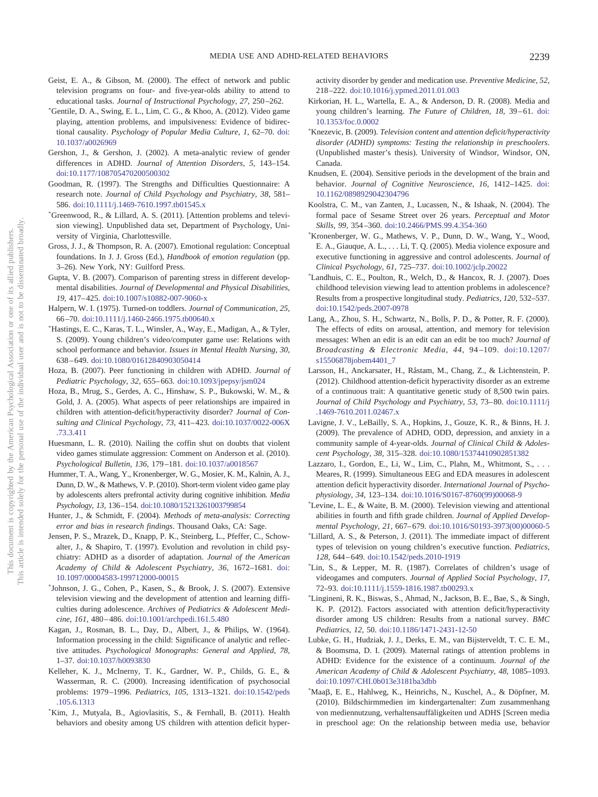- <span id="page-11-6"></span>Geist, E. A., & Gibson, M. (2000). The effect of network and public television programs on four- and five-year-olds ability to attend to educational tasks. *Journal of Instructional Psychology, 27,* 250 –262.
- <span id="page-11-28"></span>- Gentile, D. A., Swing, E. L., Lim, C. G., & Khoo, A. (2012). Video game playing, attention problems, and impulsiveness: Evidence of bidirectional causality. *Psychology of Popular Media Culture, 1,* 62–70. [doi:](http://dx.doi.org/10.1037/a0026969) [10.1037/a0026969](http://dx.doi.org/10.1037/a0026969)
- <span id="page-11-14"></span>Gershon, J., & Gershon, J. (2002). A meta-analytic review of gender differences in ADHD. *Journal of Attention Disorders, 5,* 143–154. [doi:10.1177/108705470200500302](http://dx.doi.org/10.1177/108705470200500302)
- <span id="page-11-16"></span>Goodman, R. (1997). The Strengths and Difficulties Questionnaire: A research note. *Journal of Child Psychology and Psychiatry, 38,* 581– 586. [doi:10.1111/j.1469-7610.1997.tb01545.x](http://dx.doi.org/10.1111/j.1469-7610.1997.tb01545.x)
- <span id="page-11-20"></span>- Greenwood, R., & Lillard, A. S. (2011). [Attention problems and television viewing]. Unpublished data set, Department of Psychology, University of Virginia, Charlottesville.
- <span id="page-11-13"></span>Gross, J. J., & Thompson, R. A. (2007). Emotional regulation: Conceptual foundations. In J. J. Gross (Ed.), *Handbook of emotion regulation* (pp. 3–26). New York, NY: Guilford Press.
- <span id="page-11-33"></span>Gupta, V. B. (2007). Comparison of parenting stress in different developmental disabilities. *Journal of Developmental and Physical Disabilities, 19,* 417– 425. [doi:10.1007/s10882-007-9060-x](http://dx.doi.org/10.1007/s10882-007-9060-x)
- <span id="page-11-7"></span>Halpern, W. I. (1975). Turned-on toddlers. *Journal of Communication, 25,* 66 –70. [doi:10.1111/j.1460-2466.1975.tb00640.x](http://dx.doi.org/10.1111/j.1460-2466.1975.tb00640.x)
- <span id="page-11-21"></span>- Hastings, E. C., Karas, T. L., Winsler, A., Way, E., Madigan, A., & Tyler, S. (2009). Young children's video/computer game use: Relations with school performance and behavior. *Issues in Mental Health Nursing, 30,* 638 – 649. [doi:10.1080/01612840903050414](http://dx.doi.org/10.1080/01612840903050414)
- <span id="page-11-31"></span>Hoza, B. (2007). Peer functioning in children with ADHD. *Journal of Pediatric Psychology, 32,* 655– 663. [doi:10.1093/jpepsy/jsm024](http://dx.doi.org/10.1093/jpepsy/jsm024)
- <span id="page-11-32"></span>Hoza, B., Mrug, S., Gerdes, A. C., Hinshaw, S. P., Bukowski, W. M., & Gold, J. A. (2005). What aspects of peer relationships are impaired in children with attention-deficit/hyperactivity disorder? *Journal of Consulting and Clinical Psychology, 73,* 411– 423. [doi:10.1037/0022-006X](http://dx.doi.org/10.1037/0022-006X.73.3.411) [.73.3.411](http://dx.doi.org/10.1037/0022-006X.73.3.411)
- <span id="page-11-30"></span>Huesmann, L. R. (2010). Nailing the coffin shut on doubts that violent video games stimulate aggression: Comment on Anderson et al. (2010). *Psychological Bulletin, 136,* 179 –181. [doi:10.1037/a0018567](http://dx.doi.org/10.1037/a0018567)
- <span id="page-11-10"></span>Hummer, T. A., Wang, Y., Kronenberger, W. G., Mosier, K. M., Kalnin, A. J., Dunn, D. W., & Mathews, V. P. (2010). Short-term violent video game play by adolescents alters prefrontal activity during cognitive inhibition. *Media Psychology, 13,* 136 –154. [doi:10.1080/15213261003799854](http://dx.doi.org/10.1080/15213261003799854)
- <span id="page-11-19"></span>Hunter, J., & Schmidt, F. (2004). *Methods of meta-analysis: Correcting error and bias in research findings*. Thousand Oaks, CA: Sage.
- <span id="page-11-4"></span>Jensen, P. S., Mrazek, D., Knapp, P. K., Steinberg, L., Pfeffer, C., Schowalter, J., & Shapiro, T. (1997). Evolution and revolution in child psychiatry: ADHD as a disorder of adaptation. *Journal of the American Academy of Child & Adolescent Psychiatry, 36,* 1672–1681. [doi:](http://dx.doi.org/10.1097/00004583-199712000-00015) [10.1097/00004583-199712000-00015](http://dx.doi.org/10.1097/00004583-199712000-00015)
- <span id="page-11-29"></span>- Johnson, J. G., Cohen, P., Kasen, S., & Brook, J. S. (2007). Extensive television viewing and the development of attention and learning difficulties during adolescence. *Archives of Pediatrics & Adolescent Medicine, 161,* 480 – 486. [doi:10.1001/archpedi.161.5.480](http://dx.doi.org/10.1001/archpedi.161.5.480)
- <span id="page-11-18"></span>Kagan, J., Rosman, B. L., Day, D., Albert, J., & Philips, W. (1964). Information processing in the child: Significance of analytic and reflective attitudes. *Psychological Monographs: General and Applied, 78,* 1–37. [doi:10.1037/h0093830](http://dx.doi.org/10.1037/h0093830)
- <span id="page-11-1"></span>Kelleher, K. J., McInerny, T. K., Gardner, W. P., Childs, G. E., & Wasserman, R. C. (2000). Increasing identification of psychosocial problems: 1979 –1996. *Pediatrics, 105,* 1313–1321. [doi:10.1542/peds](http://dx.doi.org/10.1542/peds.105.6.1313) [.105.6.1313](http://dx.doi.org/10.1542/peds.105.6.1313)
- <span id="page-11-22"></span>- Kim, J., Mutyala, B., Agiovlasitis, S., & Fernhall, B. (2011). Health behaviors and obesity among US children with attention deficit hyper-

activity disorder by gender and medication use. *Preventive Medicine, 52,* 218 –222. [doi:10.1016/j.ypmed.2011.01.003](http://dx.doi.org/10.1016/j.ypmed.2011.01.003)

- <span id="page-11-5"></span>Kirkorian, H. L., Wartella, E. A., & Anderson, D. R. (2008). Media and young children's learning. *The Future of Children, 18, 39-61*. [doi:](http://dx.doi.org/10.1353/foc.0.0002) [10.1353/foc.0.0002](http://dx.doi.org/10.1353/foc.0.0002)
- <span id="page-11-23"></span>-Knezevic, B. (2009). *Television content and attention deficit/hyperactivity disorder (ADHD) symptoms: Testing the relationship in preschoolers*. (Unpublished master's thesis). University of Windsor, Windsor, ON, Canada.
- <span id="page-11-12"></span>Knudsen, E. (2004). Sensitive periods in the development of the brain and behavior. *Journal of Cognitive Neuroscience, 16,* 1412–1425. [doi:](http://dx.doi.org/10.1162/0898929042304796) [10.1162/0898929042304796](http://dx.doi.org/10.1162/0898929042304796)
- <span id="page-11-0"></span>Koolstra, C. M., van Zanten, J., Lucassen, N., & Ishaak, N. (2004). The formal pace of Sesame Street over 26 years. *Perceptual and Motor Skills, 99,* 354 –360. [doi:10.2466/PMS.99.4.354-360](http://dx.doi.org/10.2466/PMS.99.4.354-360)
- <span id="page-11-17"></span>- Kronenberger, W. G., Mathews, V. P., Dunn, D. W., Wang, Y., Wood, E. A., Giauque, A. L., . . . Li, T. Q. (2005). Media violence exposure and executive functioning in aggressive and control adolescents. *Journal of Clinical Psychology, 61,* 725–737. [doi:10.1002/jclp.20022](http://dx.doi.org/10.1002/jclp.20022)
- <span id="page-11-8"></span>- Landhuis, C. E., Poulton, R., Welch, D., & Hancox, R. J. (2007). Does childhood television viewing lead to attention problems in adolescence? Results from a prospective longitudinal study. *Pediatrics, 120,* 532–537. [doi:10.1542/peds.2007-0978](http://dx.doi.org/10.1542/peds.2007-0978)
- <span id="page-11-11"></span>Lang, A., Zhou, S. H., Schwartz, N., Bolls, P. D., & Potter, R. F. (2000). The effects of edits on arousal, attention, and memory for television messages: When an edit is an edit can an edit be too much? *Journal of Broadcasting & Electronic Media, 44,* 94 –109. [doi:10.1207/](http://dx.doi.org/10.1207/s15506878jobem4401_7) [s15506878jobem4401\\_7](http://dx.doi.org/10.1207/s15506878jobem4401_7)
- <span id="page-11-2"></span>Larsson, H., Anckarsater, H., Råstam, M., Chang, Z., & Lichtenstein, P. (2012). Childhood attention-deficit hyperactivity disorder as an extreme of a continuous trait: A quantitative genetic study of 8,500 twin pairs. *Journal of Child Psychology and Psychiatry, 53,* 73– 80. [doi:10.1111/j](http://dx.doi.org/10.1111/j.1469-7610.2011.02467.x) [.1469-7610.2011.02467.x](http://dx.doi.org/10.1111/j.1469-7610.2011.02467.x)
- <span id="page-11-15"></span>Lavigne, J. V., LeBailly, S. A., Hopkins, J., Gouze, K. R., & Binns, H. J. (2009). The prevalence of ADHD, ODD, depression, and anxiety in a community sample of 4-year-olds. *Journal of Clinical Child & Adolescent Psychology, 38,* 315–328. [doi:10.1080/15374410902851382](http://dx.doi.org/10.1080/15374410902851382)
- <span id="page-11-34"></span>Lazzaro, I., Gordon, E., Li, W., Lim, C., Plahn, M., Whitmont, S., ... Meares, R. (1999). Simultaneous EEG and EDA measures in adolescent attention deficit hyperactivity disorder. *International Journal of Psychophysiology, 34,* 123–134. [doi:10.1016/S0167-8760\(99\)00068-9](http://dx.doi.org/10.1016/S0167-8760%2899%2900068-9)
- <span id="page-11-9"></span>- Levine, L. E., & Waite, B. M. (2000). Television viewing and attentional abilities in fourth and fifth grade children. *Journal of Applied Developmental Psychology, 21,* 667– 679. [doi:10.1016/S0193-3973\(00\)00060-5](http://dx.doi.org/10.1016/S0193-3973%2800%2900060-5)
- <span id="page-11-24"></span>- Lillard, A. S., & Peterson, J. (2011). The immediate impact of different types of television on young children's executive function. *Pediatrics, 128,* 644 – 649. [doi:10.1542/peds.2010-1919](http://dx.doi.org/10.1542/peds.2010-1919)
- <span id="page-11-25"></span>- Lin, S., & Lepper, M. R. (1987). Correlates of children's usage of videogames and computers. *Journal of Applied Social Psychology, 17,* 72–93. [doi:10.1111/j.1559-1816.1987.tb00293.x](http://dx.doi.org/10.1111/j.1559-1816.1987.tb00293.x)
- <span id="page-11-26"></span>- Lingineni, R. K., Biswas, S., Ahmad, N., Jackson, B. E., Bae, S., & Singh, K. P. (2012). Factors associated with attention deficit/hyperactivity disorder among US children: Results from a national survey. *BMC Pediatrics, 12,* 50. [doi:10.1186/1471-2431-12-50](http://dx.doi.org/10.1186/1471-2431-12-50)
- <span id="page-11-3"></span>Lubke, G. H., Hudziak, J. J., Derks, E. M., van Bijsterveldt, T. C. E. M., & Boomsma, D. I. (2009). Maternal ratings of attention problems in ADHD: Evidence for the existence of a continuum. *Journal of the American Academy of Child & Adolescent Psychiatry, 48,* 1085–1093. [doi:10.1097/CHI.0b013e3181ba3dbb](http://dx.doi.org/10.1097/CHI.0b013e3181ba3dbb)
- <span id="page-11-27"></span>\*Maaβ, E. E., Hahlweg, K., Heinrichs, N., Kuschel, A., & Döpfner, M. (2010). Bildschirmmedien im kindergartenalter: Zum zusammenhang von mediennutzung, verhaltensauffäligkeiten und ADHS [Screen media in preschool age: On the relationship between media use, behavior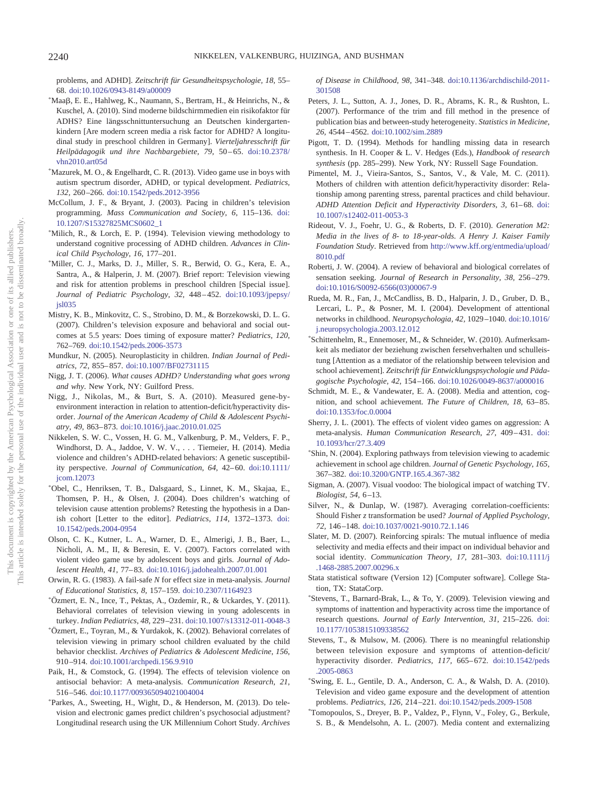problems, and ADHD]. *Zeitschrift für Gesundheitspsychologie, 18,* 55– 68. [doi:10.1026/0943-8149/a00009](http://dx.doi.org/10.1026/0943-8149/a00009)

- <span id="page-12-24"></span>\*Maaβ, E. E., Hahlweg, K., Naumann, S., Bertram, H., & Heinrichs, N., & Kuschel, A. (2010). Sind moderne bildschirmmedien ein risikofaktor für ADHS? Eine längsschnittuntersuchung an Deutschen kindergartenkindern [Are modern screen media a risk factor for ADHD? A longitudinal study in preschool children in Germany]. *Vierteljahresschrift für Heilpädagogik und ihre Nachbargebiete, 79,* 50 – 65. [doi:10.2378/](http://dx.doi.org/10.2378/vhn2010.art05d) [vhn2010.art05d](http://dx.doi.org/10.2378/vhn2010.art05d)
- <span id="page-12-18"></span>\*Mazurek, M. O., & Engelhardt, C. R. (2013). Video game use in boys with autism spectrum disorder, ADHD, or typical development. *Pediatrics, 132,* 260 –266. [doi:10.1542/peds.2012-3956](http://dx.doi.org/10.1542/peds.2012-3956)
- <span id="page-12-30"></span>McCollum, J. F., & Bryant, J. (2003). Pacing in children's television programming. *Mass Communication and Society, 6,* 115–136. [doi:](http://dx.doi.org/10.1207/S15327825MCS0602_1) [10.1207/S15327825MCS0602\\_1](http://dx.doi.org/10.1207/S15327825MCS0602_1)
- <span id="page-12-13"></span>- Milich, R., & Lorch, E. P. (1994). Television viewing methodology to understand cognitive processing of ADHD children. *Advances in Clinical Child Psychology, 16,* 177–201.
- <span id="page-12-10"></span>- Miller, C. J., Marks, D. J., Miller, S. R., Berwid, O. G., Kera, E. A., Santra, A., & Halperin, J. M. (2007). Brief report: Television viewing and risk for attention problems in preschool children [Special issue]. *Journal of Pediatric Psychology, 32,* 448 – 452. [doi:10.1093/jpepsy/](http://dx.doi.org/10.1093/jpepsy/jsl035) [jsl035](http://dx.doi.org/10.1093/jpepsy/jsl035)
- <span id="page-12-8"></span>Mistry, K. B., Minkovitz, C. S., Strobino, D. M., & Borzekowski, D. L. G. (2007). Children's television exposure and behavioral and social outcomes at 5.5 years: Does timing of exposure matter? *Pediatrics, 120,* 762–769. [doi:10.1542/peds.2006-3573](http://dx.doi.org/10.1542/peds.2006-3573)
- <span id="page-12-3"></span>Mundkur, N. (2005). Neuroplasticity in children. *Indian Journal of Pediatrics, 72,* 855– 857. [doi:10.1007/BF02731115](http://dx.doi.org/10.1007/BF02731115)
- <span id="page-12-0"></span>Nigg, J. T. (2006). *What causes ADHD? Understanding what goes wrong and why*. New York, NY: Guilford Press.
- <span id="page-12-34"></span>Nigg, J., Nikolas, M., & Burt, S. A. (2010). Measured gene-byenvironment interaction in relation to attention-deficit/hyperactivity disorder. *Journal of the American Academy of Child & Adolescent Psychiatry, 49,* 863– 873. [doi:10.1016/j.jaac.2010.01.025](http://dx.doi.org/10.1016/j.jaac.2010.01.025)
- <span id="page-12-19"></span>Nikkelen, S. W. C., Vossen, H. G. M., Valkenburg, P. M., Velders, F. P., Windhorst, D. A., Jaddoe, V. W. V.,... Tiemeier, H. (2014). Media violence and children's ADHD-related behaviors: A genetic susceptibility perspective. *Journal of Communication, 64,* 42– 60. [doi:10.1111/](http://dx.doi.org/10.1111/jcom.12073) [jcom.12073](http://dx.doi.org/10.1111/jcom.12073)
- <span id="page-12-25"></span>- Obel, C., Henriksen, T. B., Dalsgaard, S., Linnet, K. M., Skajaa, E., Thomsen, P. H., & Olsen, J. (2004). Does children's watching of television cause attention problems? Retesting the hypothesis in a Danish cohort [Letter to the editor]. *Pediatrics, 114,* 1372–1373. [doi:](http://dx.doi.org/10.1542/peds.2004-0954) [10.1542/peds.2004-0954](http://dx.doi.org/10.1542/peds.2004-0954)
- <span id="page-12-5"></span>Olson, C. K., Kutner, L. A., Warner, D. E., Almerigi, J. B., Baer, L., Nicholi, A. M., II, & Beresin, E. V. (2007). Factors correlated with violent video game use by adolescent boys and girls. *Journal of Adolescent Health, 41,* 77– 83. [doi:10.1016/j.jadohealth.2007.01.001](http://dx.doi.org/10.1016/j.jadohealth.2007.01.001)
- <span id="page-12-15"></span>Orwin, R. G. (1983). A fail-safe *N* for effect size in meta-analysis. *Journal of Educational Statistics, 8,* 157–159. [doi:10.2307/1164923](http://dx.doi.org/10.2307/1164923)
- <span id="page-12-21"></span>- Özmert, E. N., Ince, T., Pektas, A., Ozdemir, R., & Uckardes, Y. (2011). Behavioral correlates of television viewing in young adolescents in turkey. *Indian Pediatrics, 48,* 229 –231. [doi:10.1007/s13312-011-0048-3](http://dx.doi.org/10.1007/s13312-011-0048-3)
- <span id="page-12-20"></span>- Özmert, E., Toyran, M., & Yurdakok, K. (2002). Behavioral correlates of television viewing in primary school children evaluated by the child behavior checklist. *Archives of Pediatrics & Adolescent Medicine, 156,* 910 –914. [doi:10.1001/archpedi.156.9.910](http://dx.doi.org/10.1001/archpedi.156.9.910)
- <span id="page-12-6"></span>Paik, H., & Comstock, G. (1994). The effects of television violence on antisocial behavior: A meta-analysis. *Communication Research, 21,* 516 –546. [doi:10.1177/009365094021004004](http://dx.doi.org/10.1177/009365094021004004)
- <span id="page-12-26"></span>- Parkes, A., Sweeting, H., Wight, D., & Henderson, M. (2013). Do television and electronic games predict children's psychosocial adjustment? Longitudinal research using the UK Millennium Cohort Study. *Archives*

*of Disease in Childhood, 98,* 341–348. [doi:10.1136/archdischild-2011-](http://dx.doi.org/10.1136/archdischild-2011-301508) [301508](http://dx.doi.org/10.1136/archdischild-2011-301508)

- <span id="page-12-17"></span>Peters, J. L., Sutton, A. J., Jones, D. R., Abrams, K. R., & Rushton, L. (2007). Performance of the trim and fill method in the presence of publication bias and between-study heterogeneity. *Statistics in Medicine, 26,* 4544 – 4562. [doi:10.1002/sim.2889](http://dx.doi.org/10.1002/sim.2889)
- <span id="page-12-12"></span>Pigott, T. D. (1994). Methods for handling missing data in research synthesis. In H. Cooper & L. V. Hedges (Eds.), *Handbook of research synthesis* (pp. 285–299). New York, NY: Russell Sage Foundation.
- <span id="page-12-31"></span>Pimentel, M. J., Vieira-Santos, S., Santos, V., & Vale, M. C. (2011). Mothers of children with attention deficit/hyperactivity disorder: Relationship among parenting stress, parental practices and child behaviour. ADHD Attention Deficit and Hyperactivity Disorders, 3, 61-68. [doi:](http://dx.doi.org/10.1007/s12402-011-0053-3) [10.1007/s12402-011-0053-3](http://dx.doi.org/10.1007/s12402-011-0053-3)
- <span id="page-12-4"></span>Rideout, V. J., Foehr, U. G., & Roberts, D. F. (2010). *Generation M2: Media in the lives of 8- to 18-year-olds. A Henry J. Kaiser Family Foundation Study*. Retrieved from [http://www.kff.org/entmedia/upload/](http://www.kff.org/entmedia/upload/8010.pdf) [8010.pdf](http://www.kff.org/entmedia/upload/8010.pdf)
- <span id="page-12-32"></span>Roberti, J. W. (2004). A review of behavioral and biological correlates of sensation seeking. *Journal of Research in Personality, 38,* 256 –279. [doi:10.1016/S0092-6566\(03\)00067-9](http://dx.doi.org/10.1016/S0092-6566%2803%2900067-9)
- <span id="page-12-9"></span>Rueda, M. R., Fan, J., McCandliss, B. D., Halparin, J. D., Gruber, D. B., Lercari, L. P., & Posner, M. I. (2004). Development of attentional networks in childhood. *Neuropsychologia, 42,* 1029 –1040. [doi:10.1016/](http://dx.doi.org/10.1016/j.neuropsychologia.2003.12.012) [j.neuropsychologia.2003.12.012](http://dx.doi.org/10.1016/j.neuropsychologia.2003.12.012)
- <span id="page-12-22"></span>- Schittenhelm, R., Ennemoser, M., & Schneider, W. (2010). Aufmerksamkeit als mediator der beziehung zwischen fersehverhalten und schulleistung [Attention as a mediator of the relationship between television and school achievement]. *Zeitschrift für Entwicklungspsychologie und Pädagogische Psychologie, 42,* 154 –166. [doi:10.1026/0049-8637/a000016](http://dx.doi.org/10.1026/0049-8637/a000016)
- <span id="page-12-2"></span>Schmidt, M. E., & Vandewater, E. A. (2008). Media and attention, cognition, and school achievement. *The Future of Children, 18*, 63-85. [doi:10.1353/foc.0.0004](http://dx.doi.org/10.1353/foc.0.0004)
- <span id="page-12-29"></span>Sherry, J. L. (2001). The effects of violent video games on aggression: A meta-analysis. *Human Communication Research*, 27, 409-431. [doi:](http://dx.doi.org/10.1093/hcr/27.3.409) [10.1093/hcr/27.3.409](http://dx.doi.org/10.1093/hcr/27.3.409)
- <span id="page-12-23"></span>- Shin, N. (2004). Exploring pathways from television viewing to academic achievement in school age children. *Journal of Genetic Psychology, 165,* 367–382. [doi:10.3200/GNTP.165.4.367-382](http://dx.doi.org/10.3200/GNTP.165.4.367-382)
- <span id="page-12-1"></span>Sigman, A. (2007). Visual voodoo: The biological impact of watching TV. *Biologist, 54,* 6 –13.
- <span id="page-12-14"></span>Silver, N., & Dunlap, W. (1987). Averaging correlation-coefficients: Should Fisher *z* transformation be used? *Journal of Applied Psychology, 72,* 146 –148. [doi:10.1037/0021-9010.72.1.146](http://dx.doi.org/10.1037/0021-9010.72.1.146)
- <span id="page-12-33"></span>Slater, M. D. (2007). Reinforcing spirals: The mutual influence of media selectivity and media effects and their impact on individual behavior and social identity. *Communication Theory, 17,* 281–303. [doi:10.1111/j](http://dx.doi.org/10.1111/j.1468-2885.2007.00296.x) [.1468-2885.2007.00296.x](http://dx.doi.org/10.1111/j.1468-2885.2007.00296.x)
- <span id="page-12-16"></span>Stata statistical software (Version 12) [Computer software]. College Station, TX: StataCorp.
- <span id="page-12-27"></span>- Stevens, T., Barnard-Brak, L., & To, Y. (2009). Television viewing and symptoms of inattention and hyperactivity across time the importance of research questions. *Journal of Early Intervention, 31,* 215–226. [doi:](http://dx.doi.org/10.1177/1053815109338562) [10.1177/1053815109338562](http://dx.doi.org/10.1177/1053815109338562)
- <span id="page-12-7"></span>Stevens, T., & Mulsow, M. (2006). There is no meaningful relationship between television exposure and symptoms of attention-deficit/ hyperactivity disorder. *Pediatrics*, 117, 665-672. [doi:10.1542/peds](http://dx.doi.org/10.1542/peds.2005-0863) [.2005-0863](http://dx.doi.org/10.1542/peds.2005-0863)
- <span id="page-12-11"></span>- Swing, E. L., Gentile, D. A., Anderson, C. A., & Walsh, D. A. (2010). Television and video game exposure and the development of attention problems. *Pediatrics, 126,* 214 –221. [doi:10.1542/peds.2009-1508](http://dx.doi.org/10.1542/peds.2009-1508)
- <span id="page-12-28"></span>- Tomopoulos, S., Dreyer, B. P., Valdez, P., Flynn, V., Foley, G., Berkule, S. B., & Mendelsohn, A. L. (2007). Media content and externalizing